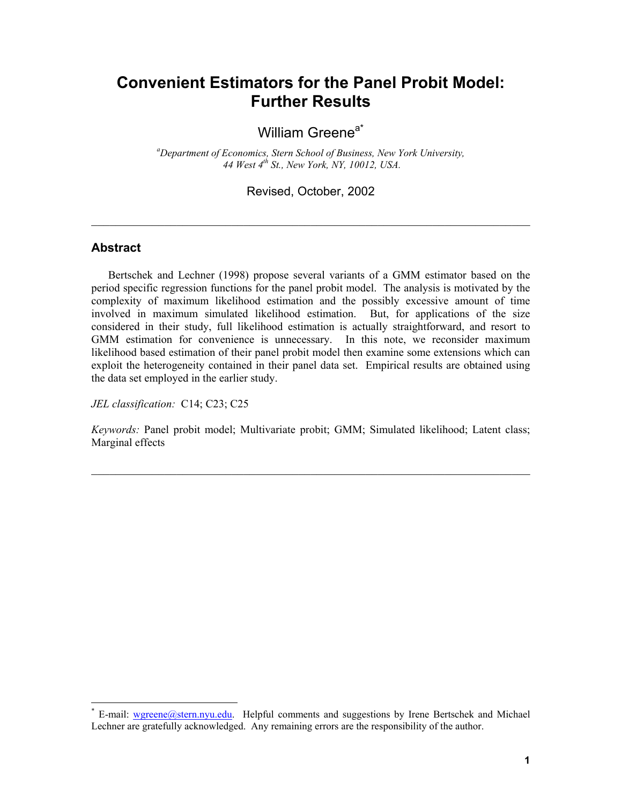# **Convenient Estimators for the Panel Probit Model: Further Results**

## William Greene<sup>a[\\*](#page-0-0)</sup>

*a Department of Economics, Stern School of Business, New York University, 44 West 4th St., New York, NY, 10012, USA.* 

Revised, October, 2002

 $\mathcal{L}_\text{max}$  , and the contribution of the contribution of the contribution of the contribution of the contribution of the contribution of the contribution of the contribution of the contribution of the contribution of t

## **Abstract**

 $\overline{a}$ 

Bertschek and Lechner (1998) propose several variants of a GMM estimator based on the period specific regression functions for the panel probit model. The analysis is motivated by the complexity of maximum likelihood estimation and the possibly excessive amount of time involved in maximum simulated likelihood estimation. But, for applications of the size considered in their study, full likelihood estimation is actually straightforward, and resort to GMM estimation for convenience is unnecessary. In this note, we reconsider maximum likelihood based estimation of their panel probit model then examine some extensions which can exploit the heterogeneity contained in their panel data set. Empirical results are obtained using the data set employed in the earlier study.

*JEL classification:* C14; C23; C25

*Keywords:* Panel probit model; Multivariate probit; GMM; Simulated likelihood; Latent class; Marginal effects

 $\mathcal{L}_\text{max}$  , and the contribution of the contribution of the contribution of the contribution of the contribution of the contribution of the contribution of the contribution of the contribution of the contribution of t

<span id="page-0-0"></span><sup>\*</sup> E-mail: [wgreene@stern.nyu.edu.](mailto:wgreene@stern.nyu.edu) Helpful comments and suggestions by Irene Bertschek and Michael Lechner are gratefully acknowledged. Any remaining errors are the responsibility of the author.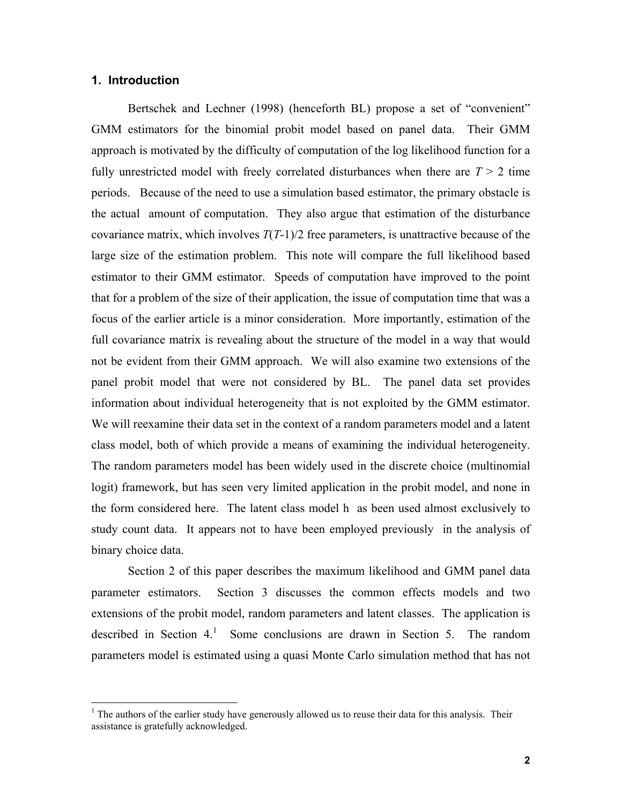## **1. Introduction**

 $\overline{a}$ 

Bertschek and Lechner (1998) (henceforth BL) propose a set of "convenient" GMM estimators for the binomial probit model based on panel data. Their GMM approach is motivated by the difficulty of computation of the log likelihood function for a fully unrestricted model with freely correlated disturbances when there are  $T > 2$  time periods. Because of the need to use a simulation based estimator, the primary obstacle is the actual amount of computation. They also argue that estimation of the disturbance covariance matrix, which involves *T*(*T*-1)/2 free parameters, is unattractive because of the large size of the estimation problem. This note will compare the full likelihood based estimator to their GMM estimator. Speeds of computation have improved to the point that for a problem of the size of their application, the issue of computation time that was a focus of the earlier article is a minor consideration. More importantly, estimation of the full covariance matrix is revealing about the structure of the model in a way that would not be evident from their GMM approach. We will also examine two extensions of the panel probit model that were not considered by BL. The panel data set provides information about individual heterogeneity that is not exploited by the GMM estimator. We will reexamine their data set in the context of a random parameters model and a latent class model, both of which provide a means of examining the individual heterogeneity. The random parameters model has been widely used in the discrete choice (multinomial logit) framework, but has seen very limited application in the probit model, and none in the form considered here. The latent class model h as been used almost exclusively to study count data. It appears not to have been employed previously in the analysis of binary choice data.

Section 2 of this paper describes the maximum likelihood and GMM panel data parameter estimators. Section 3 discusses the common effects models and two extensions of the probit model, random parameters and latent classes. The application is described in Section  $4.1$  $4.1$  Some conclusions are drawn in Section 5. The random parameters model is estimated using a quasi Monte Carlo simulation method that has not

<span id="page-1-0"></span> $<sup>1</sup>$  The authors of the earlier study have generously allowed us to reuse their data for this analysis. Their</sup> assistance is gratefully acknowledged.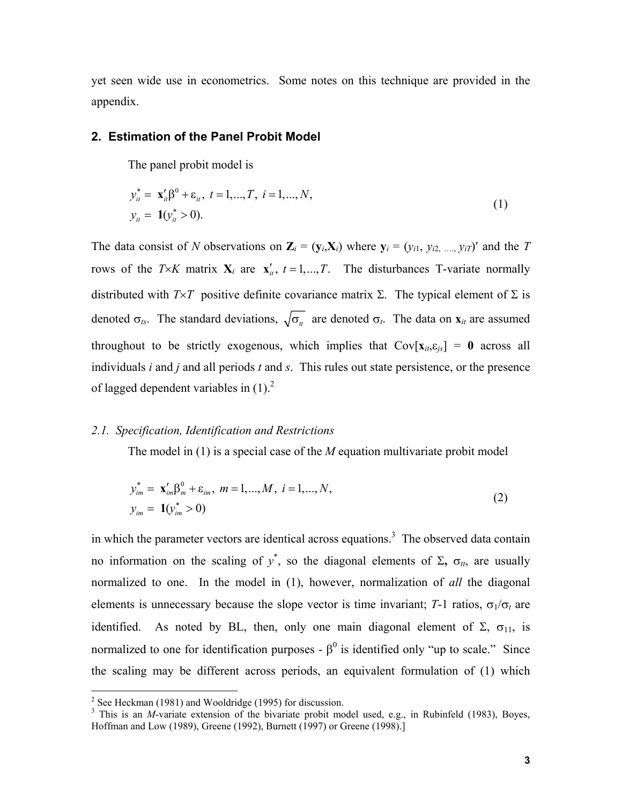yet seen wide use in econometrics. Some notes on this technique are provided in the appendix.

## **2. Estimation of the Panel Probit Model**

The panel probit model is

$$
y_{it}^* = \mathbf{x}_{it}' \boldsymbol{\beta}^0 + \varepsilon_{it}, \ t = 1, ..., T, \ i = 1, ..., N,
$$
  
\n
$$
y_{it} = \mathbf{1}(y_{it}^* > 0).
$$
 (1)

rows of the *T*×*K* matrix  $X_i$  are  $X'_i$ ,  $t = 1,..., T$ . The disturbances T-variate normally The data consist of *N* observations on  $\mathbf{Z}_i = (\mathbf{y}_i, \mathbf{X}_i)$  where  $\mathbf{y}_i = (y_{i1}, y_{i2, \dots, y_{iT}})'$  and the *T* distributed with  $T \times T$  positive definite covariance matrix Σ. The typical element of Σ is denoted  $\sigma_{ts}$ . The standard deviations,  $\sqrt{\sigma_{tt}}$  are denoted  $\sigma_{t}$ . The data on  $\mathbf{x}_{it}$  are assumed throughout to be strictly exogenous, which implies that  $Cov[x_{it}, \varepsilon_{js}] = 0$  across all individuals *i* and *j* and all periods *t* and *s*. This rules out state persistence, or the presence of lagged dependent variables in  $(1)^2$  $(1)^2$ 

## *2.1. Specification, Identification and Restrictions*

The model in (1) is a special case of the *M* equation multivariate probit model

$$
y_{im}^{*} = \mathbf{x}'_{im} \beta_{m}^{0} + \varepsilon_{im}, \ m = 1, ..., M, \ i = 1, ..., N,
$$
  

$$
y_{im} = \mathbf{1}(y_{im}^{*} > 0)
$$
 (2)

in which the parameter vectors are identical across equations.<sup>[3](#page-2-1)</sup> The observed data contain no information on the scaling of  $y^*$ , so the diagonal elements of  $\Sigma$ ,  $\sigma_{tt}$ , are usually normalized to one. In the model in (1), however, normalization of *all* the diagonal elements is unnecessary because the slope vector is time invariant; *T*-1 ratios,  $\sigma_1/\sigma_t$  are identified. As noted by BL, then, only one main diagonal element of  $\Sigma$ ,  $\sigma_{11}$ , is normalized to one for identification purposes -  $\beta^0$  is identified only "up to scale." Since the scaling may be different across periods, an equivalent formulation of (1) which

 $\frac{1}{2}$ 

<span id="page-2-1"></span><span id="page-2-0"></span><sup>&</sup>lt;sup>2</sup> See Heckman (1981) and Wooldridge (1995) for discussion.<br><sup>3</sup> This is an *M*-variate extension of the bivariate probit model used, e.g., in Rubinfeld (1983), Boyes, Hoffman and Low (1989), Greene (1992), Burnett (1997) or Greene (1998).]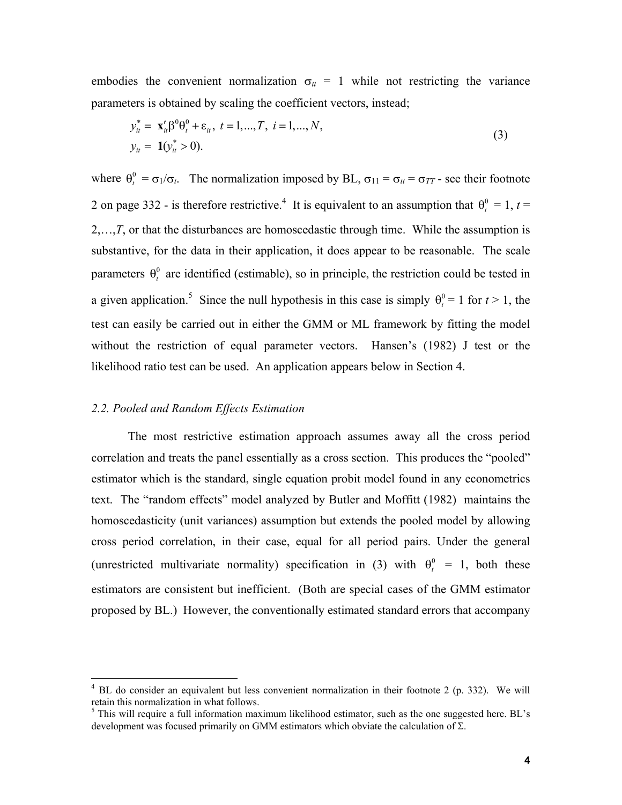embodies the convenient normalization  $\sigma_t = 1$  while not restricting the variance parameters is obtained by scaling the coefficient vectors, instead;

$$
y_{it}^{*} = \mathbf{x}_{it}' \beta^{0} \theta_{t}^{0} + \varepsilon_{it}, \ t = 1, ..., T, \ i = 1, ..., N,
$$
  

$$
y_{it} = \mathbf{1}(y_{it}^{*} > 0).
$$
 (3)

where  $\theta_t^0 = \sigma_1/\sigma_t$ . The normalization imposed by BL,  $\sigma_{11} = \sigma_{tt} = \sigma_{TT}$  - see their footnote 2 on page 332 - is therefore restrictive.<sup>[4](#page-3-0)</sup> It is equivalent to an assumption that  $\theta_t^0 = 1$ ,  $t =$ 2,...,*T*, or that the disturbances are homoscedastic through time. While the assumption is substantive, for the data in their application, it does appear to be reasonable. The scale parameters  $\theta_t^0$  are identified (estimable), so in principle, the restriction could be tested in a given application.<sup>[5](#page-3-1)</sup> Since the null hypothesis in this case is simply  $\theta_t^0 = 1$  for  $t > 1$ , the test can easily be carried out in either the GMM or ML framework by fitting the model without the restriction of equal parameter vectors. Hansen's (1982) J test or the likelihood ratio test can be used. An application appears below in Section 4.

## *2.2. Pooled and Random Effects Estimation*

 $\overline{a}$ 

The most restrictive estimation approach assumes away all the cross period correlation and treats the panel essentially as a cross section. This produces the "pooled" estimator which is the standard, single equation probit model found in any econometrics text. The "random effects" model analyzed by Butler and Moffitt (1982) maintains the homoscedasticity (unit variances) assumption but extends the pooled model by allowing cross period correlation, in their case, equal for all period pairs. Under the general (unrestricted multivariate normality) specification in (3) with  $\theta_t^0 = 1$ , both these estimators are consistent but inefficient. (Both are special cases of the GMM estimator proposed by BL.) However, the conventionally estimated standard errors that accompany *t*

<span id="page-3-0"></span> $4$  BL do consider an equivalent but less convenient normalization in their footnote 2 (p. 332). We will retain this normalization in what follows.

<span id="page-3-1"></span> $<sup>5</sup>$  This will require a full information maximum likelihood estimator, such as the one suggested here. BL's</sup> development was focused primarily on GMM estimators which obviate the calculation of Σ.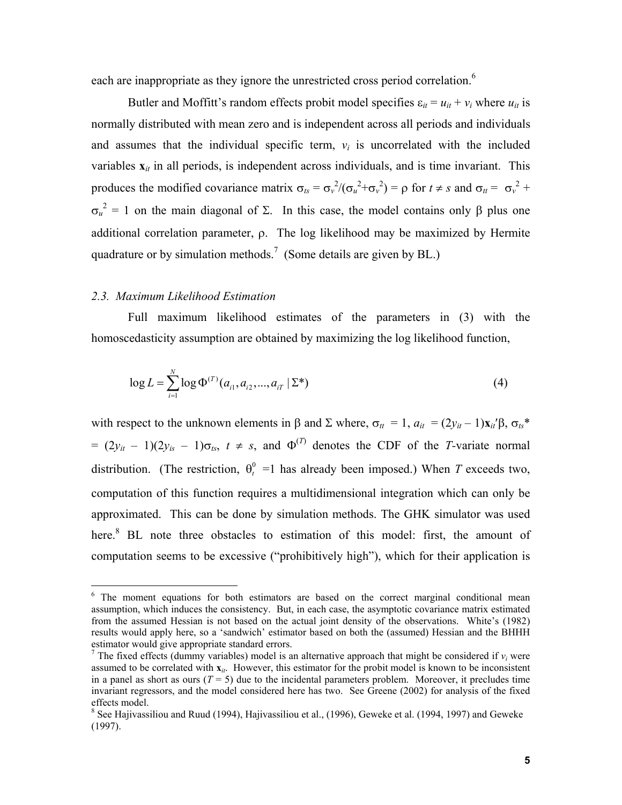each are inappropriate as they ignore the unrestricted cross period correlation.<sup>[6](#page-4-0)</sup>

Butler and Moffitt's random effects probit model specifies  $\varepsilon_{it} = u_{it} + v_i$  where  $u_{it}$  is normally distributed with mean zero and is independent across all periods and individuals and assumes that the individual specific term,  $v_i$  is uncorrelated with the included variables  $\mathbf{x}_{it}$  in all periods, is independent across individuals, and is time invariant. This produces the modified covariance matrix  $\sigma_{ts} = \sigma_v^2/(\sigma_u^2 + \sigma_v^2) = \rho$  for  $t \neq s$  and  $\sigma_t = \sigma_v^2 + \sigma_v^2$  $σ<sub>u</sub><sup>2</sup> = 1$  on the main diagonal of Σ. In this case, the model contains only β plus one additional correlation parameter, ρ. The log likelihood may be maximized by Hermite quadrature or by simulation methods.<sup>[7](#page-4-1)</sup> (Some details are given by BL.)

### *2.3. Maximum Likelihood Estimation*

 $\overline{a}$ 

Full maximum likelihood estimates of the parameters in (3) with the homoscedasticity assumption are obtained by maximizing the log likelihood function,

$$
\log L = \sum_{i=1}^{N} \log \Phi^{(T)}(a_{i1}, a_{i2}, ..., a_{iT} | \Sigma^*)
$$
 (4)

with respect to the unknown elements in β and Σ where,  $\sigma_{tt} = 1$ ,  $a_{it} = (2y_{it} - 1)\mathbf{x}_{it}$ 'β,  $\sigma_{ts}$ <sup>\*</sup>  $=(2y_{it}-1)(2y_{is}-1)\sigma_{ts}$ ,  $t \neq s$ , and  $\Phi^{(T)}$  denotes the CDF of the *T*-variate normal distribution. (The restriction,  $\theta_t^0$  =1 has already been imposed.) When *T* exceeds two, computation of this function requires a multidimensional integration which can only be approximated. This can be done by simulation methods. The GHK simulator was used here.<sup>8</sup>BL note three obstacles to estimation of this model: first, the amount of *t* computation seems to be excessive ("prohibitively high"), which for their application is

<span id="page-4-0"></span><sup>&</sup>lt;sup>6</sup> The moment equations for both estimators are based on the correct marginal conditional mean assumption, which induces the consistency. But, in each case, the asymptotic covariance matrix estimated from the assumed Hessian is not based on the actual joint density of the observations. White's (1982) results would apply here, so a 'sandwich' estimator based on both the (assumed) Hessian and the BHHH estimator would give appropriate standard errors.

<span id="page-4-1"></span><sup>&</sup>lt;sup>7</sup> The fixed effects (dummy variables) model is an alternative approach that might be considered if  $v_i$  were assumed to be correlated with  $\mathbf{x}_{i}$ . However, this estimator for the probit model is known to be inconsistent in a panel as short as ours  $(T = 5)$  due to the incidental parameters problem. Moreover, it precludes time invariant regressors, and the model considered here has two. See Greene (2002) for analysis of the fixed effects model. 8

<span id="page-4-2"></span> $8$  See Hajivassiliou and Ruud (1994), Hajivassiliou et al., (1996), Geweke et al. (1994, 1997) and Geweke (1997).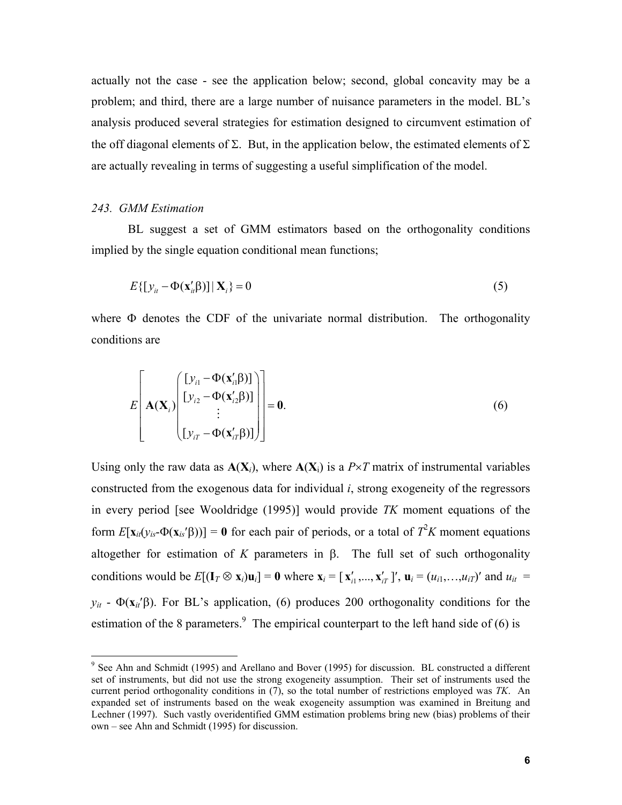actually not the case - see the application below; second, global concavity may be a problem; and third, there are a large number of nuisance parameters in the model. BL's analysis produced several strategies for estimation designed to circumvent estimation of the off diagonal elements of  $\Sigma$ . But, in the application below, the estimated elements of  $\Sigma$ are actually revealing in terms of suggesting a useful simplification of the model.

## *243. GMM Estimation*

BL suggest a set of GMM estimators based on the orthogonality conditions implied by the single equation conditional mean functions;

$$
E\{[\mathbf{y}_i - \Phi(\mathbf{x}_i'\beta)] | \mathbf{X}_i\} = 0
$$
\n(5)

where Φ denotes the CDF of the univariate normal distribution. The orthogonality conditions are

$$
E\left[\mathbf{A}(\mathbf{X}_{i})\begin{bmatrix} [y_{i1} - \Phi(\mathbf{x}_{i1}^{\prime} \boldsymbol{\beta})] \\ [y_{i2} - \Phi(\mathbf{x}_{i2}^{\prime} \boldsymbol{\beta})] \\ \vdots \\ [y_{iT} - \Phi(\mathbf{x}_{iT}^{\prime} \boldsymbol{\beta})] \end{bmatrix}\right] = \mathbf{0}.
$$
 (6)

Using only the raw data as  $A(X_i)$ , where  $A(X_i)$  is a  $P \times T$  matrix of instrumental variables constructed from the exogenous data for individual *i*, strong exogeneity of the regressors in every period [see Wooldridge (1995)] would provide *TK* moment equations of the form  $E[\mathbf{x}_{it}(y_{is}-\Phi(\mathbf{x}_{is}|\theta))] = \mathbf{0}$  for each pair of periods, or a total of  $T^2K$  moment equations altogether for estimation of  $K$  parameters in  $\beta$ . The full set of such orthogonality conditions would be  $E[(\mathbf{I}_T \otimes \mathbf{x}_i)\mathbf{u}_i] = \mathbf{0}$  where  $\mathbf{x}_i = [\mathbf{x}'_{i1},...,\mathbf{x}'_{iT}]'$ ,  $\mathbf{u}_i = (u_{i1},...,u_{iT})'$  and  $u_{it} =$  $y_{it}$  -  $\Phi(\mathbf{x}_{it}|\beta)$ . For BL's application, (6) produces 200 orthogonality conditions for the estimation of the 8 parameters.<sup>[9](#page-5-0)</sup> The empirical counterpart to the left hand side of (6) is

<span id="page-5-0"></span><sup>&</sup>lt;sup>9</sup> See Ahn and Schmidt (1995) and Arellano and Bover (1995) for discussion. BL constructed a different set of instruments, but did not use the strong exogeneity assumption. Their set of instruments used the current period orthogonality conditions in (7), so the total number of restrictions employed was *TK*. An expanded set of instruments based on the weak exogeneity assumption was examined in Breitung and Lechner (1997). Such vastly overidentified GMM estimation problems bring new (bias) problems of their own – see Ahn and Schmidt (1995) for discussion.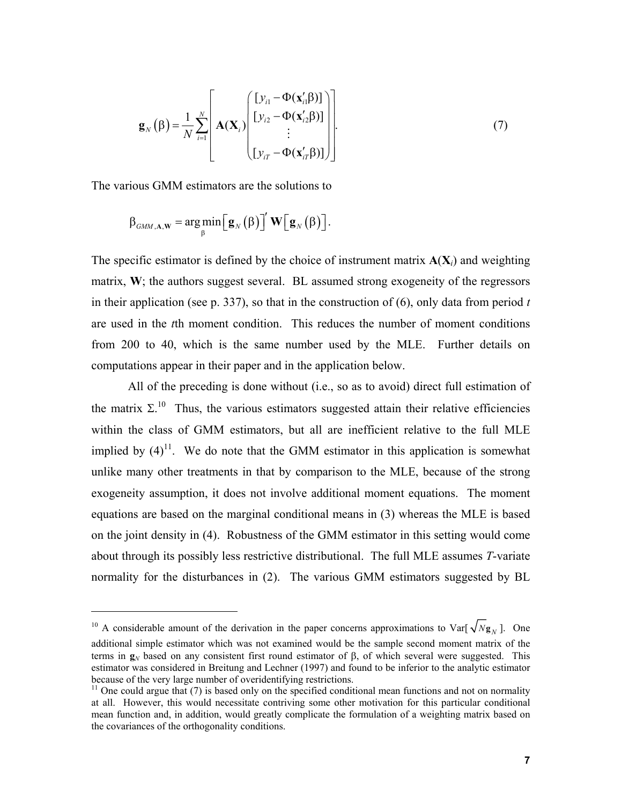$$
\mathbf{g}_{N}(\beta) = \frac{1}{N} \sum_{i=1}^{N} \left[ \mathbf{A}(\mathbf{X}_{i}) \begin{pmatrix} \left[ y_{i1} - \Phi(\mathbf{x}_{i1}'\beta) \right] \\ \left[ y_{i2} - \Phi(\mathbf{x}_{i2}'\beta) \right] \\ \vdots \\ \left[ y_{iT} - \Phi(\mathbf{x}_{iT}'\beta) \right] \end{pmatrix} \right].
$$
 (7)

The various GMM estimators are the solutions to

<u>.</u>

$$
\beta_{GMM,\mathbf{A},\mathbf{W}} = \arg\min_{\beta} \left[\mathbf{g}_N(\beta)\right]'\mathbf{W}\left[\mathbf{g}_N(\beta)\right].
$$

The specific estimator is defined by the choice of instrument matrix  $\mathbf{A}(\mathbf{X}_i)$  and weighting matrix, W; the authors suggest several. BL assumed strong exogeneity of the regressors in their application (see p. 337), so that in the construction of (6), only data from period *t* are used in the *t*th moment condition. This reduces the number of moment conditions from 200 to 40, which is the same number used by the MLE. Further details on computations appear in their paper and in the application below.

All of the preceding is done without (i.e., so as to avoid) direct full estimation of the matrix  $\Sigma^{10}$  Thus, the various estimators suggested attain their relative efficiencies within the class of GMM estimators, but all are inefficient relative to the full MLE implied by  $(4)^{11}$ . We do note that the GMM estimator in this application is somewhat unlike many other treatments in that by comparison to the MLE, because of the strong exogeneity assumption, it does not involve additional moment equations. The moment equations are based on the marginal conditional means in (3) whereas the MLE is based on the joint density in (4). Robustness of the GMM estimator in this setting would come about through its possibly less restrictive distributional. The full MLE assumes *T*-variate normality for the disturbances in (2). The various GMM estimators suggested by BL

<span id="page-6-0"></span><sup>&</sup>lt;sup>10</sup> A considerable amount of the derivation in the paper concerns approximations to Var[ $\sqrt{Ng_N}$ ]. One additional simple estimator which was not examined would be the sample second moment matrix of the terms in  $g_N$  based on any consistent first round estimator of  $\beta$ , of which several were suggested. This estimator was considered in Breitung and Lechner (1997) and found to be inferior to the analytic estimator because of the very large number of overidentifying restrictions.<br><sup>11</sup> One could argue that (7) is based only on the specified conditional mean functions and not on normality

<span id="page-6-1"></span>at all. However, this would necessitate contriving some other motivation for this particular conditional mean function and, in addition, would greatly complicate the formulation of a weighting matrix based on the covariances of the orthogonality conditions.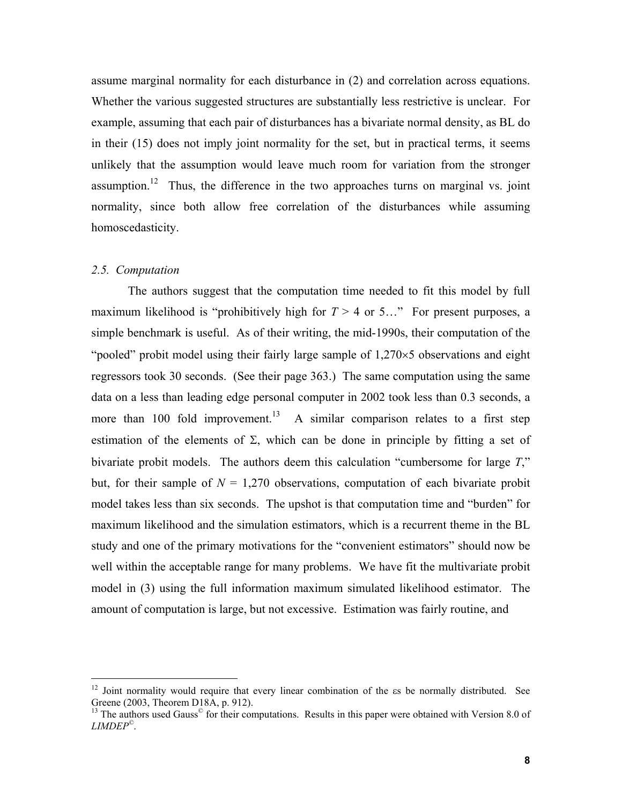assume marginal normality for each disturbance in (2) and correlation across equations. Whether the various suggested structures are substantially less restrictive is unclear. For example, assuming that each pair of disturbances has a bivariate normal density, as BL do in their (15) does not imply joint normality for the set, but in practical terms, it seems unlikely that the assumption would leave much room for variation from the stronger assumption.<sup>12</sup> Thus, the difference in the two approaches turns on marginal vs. joint normality, since both allow free correlation of the disturbances while assuming homoscedasticity.

#### *2.5. Computation*

<u>.</u>

The authors suggest that the computation time needed to fit this model by full maximum likelihood is "prohibitively high for  $T > 4$  or 5..." For present purposes, a simple benchmark is useful. As of their writing, the mid-1990s, their computation of the "pooled" probit model using their fairly large sample of  $1,270\times5$  observations and eight regressors took 30 seconds. (See their page 363.) The same computation using the same data on a less than leading edge personal computer in 2002 took less than 0.3 seconds, a more than 100 fold improvement.<sup>13</sup> A similar comparison relates to a first step estimation of the elements of  $\Sigma$ , which can be done in principle by fitting a set of bivariate probit models. The authors deem this calculation "cumbersome for large *T*," but, for their sample of  $N = 1,270$  observations, computation of each bivariate probit model takes less than six seconds. The upshot is that computation time and "burden" for maximum likelihood and the simulation estimators, which is a recurrent theme in the BL study and one of the primary motivations for the "convenient estimators" should now be well within the acceptable range for many problems. We have fit the multivariate probit model in (3) using the full information maximum simulated likelihood estimator. The amount of computation is large, but not excessive. Estimation was fairly routine, and

<span id="page-7-0"></span><sup>&</sup>lt;sup>12</sup> Joint normality would require that every linear combination of the  $\epsilon$ s be normally distributed. See Greene (2003, Theorem D18A, p. 912).

<span id="page-7-1"></span> $^{13}$  The authors used Gauss<sup>©</sup> for their computations. Results in this paper were obtained with Version 8.0 of *LIMDEP©*.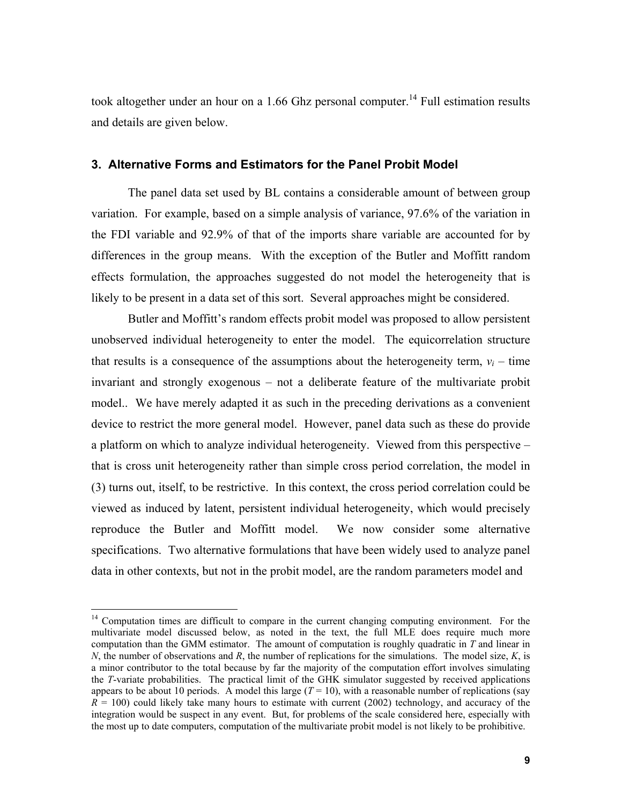took altogether under an hour on a 1.66 Ghz personal computer.<sup>14</sup> Full estimation results and details are given below.

## **3. Alternative Forms and Estimators for the Panel Probit Model**

The panel data set used by BL contains a considerable amount of between group variation. For example, based on a simple analysis of variance, 97.6% of the variation in the FDI variable and 92.9% of that of the imports share variable are accounted for by differences in the group means. With the exception of the Butler and Moffitt random effects formulation, the approaches suggested do not model the heterogeneity that is likely to be present in a data set of this sort. Several approaches might be considered.

Butler and Moffitt's random effects probit model was proposed to allow persistent unobserved individual heterogeneity to enter the model. The equicorrelation structure that results is a consequence of the assumptions about the heterogeneity term,  $v_i$  – time invariant and strongly exogenous – not a deliberate feature of the multivariate probit model.. We have merely adapted it as such in the preceding derivations as a convenient device to restrict the more general model. However, panel data such as these do provide a platform on which to analyze individual heterogeneity. Viewed from this perspective – that is cross unit heterogeneity rather than simple cross period correlation, the model in (3) turns out, itself, to be restrictive. In this context, the cross period correlation could be viewed as induced by latent, persistent individual heterogeneity, which would precisely reproduce the Butler and Moffitt model. We now consider some alternative specifications. Two alternative formulations that have been widely used to analyze panel data in other contexts, but not in the probit model, are the random parameters model and

 $\overline{a}$ 

<span id="page-8-0"></span><sup>&</sup>lt;sup>14</sup> Computation times are difficult to compare in the current changing computing environment. For the multivariate model discussed below, as noted in the text, the full MLE does require much more computation than the GMM estimator. The amount of computation is roughly quadratic in *T* and linear in *N*, the number of observations and *R*, the number of replications for the simulations. The model size, *K*, is a minor contributor to the total because by far the majority of the computation effort involves simulating the *T*-variate probabilities. The practical limit of the GHK simulator suggested by received applications appears to be about 10 periods. A model this large  $(T = 10)$ , with a reasonable number of replications (say  $\overline{R}$  = 100) could likely take many hours to estimate with current (2002) technology, and accuracy of the integration would be suspect in any event. But, for problems of the scale considered here, especially with the most up to date computers, computation of the multivariate probit model is not likely to be prohibitive.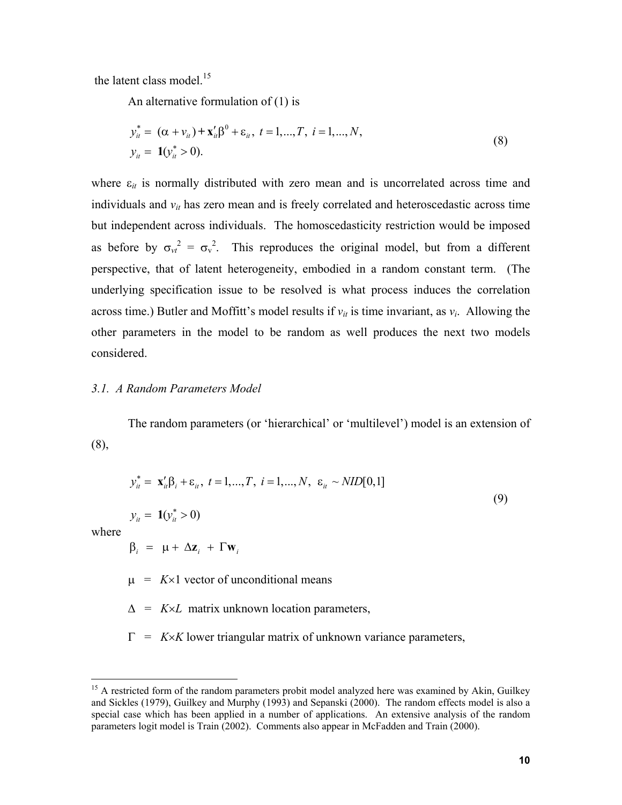the latent class model. $15$ 

An alternative formulation of (1) is

$$
y_{it}^{*} = (\alpha + v_{it}) + \mathbf{x}_{it}'\beta^{0} + \varepsilon_{it}, \ t = 1,...,T, \ i = 1,...,N,y_{it} = \mathbf{1}(y_{it}^{*} > 0).
$$
 (8)

where  $\varepsilon_{it}$  is normally distributed with zero mean and is uncorrelated across time and individuals and *vit* has zero mean and is freely correlated and heteroscedastic across time but independent across individuals. The homoscedasticity restriction would be imposed as before by  $\sigma_{vt}^2 = \sigma_v^2$ . This reproduces the original model, but from a different perspective, that of latent heterogeneity, embodied in a random constant term. (The underlying specification issue to be resolved is what process induces the correlation across time.) Butler and Moffitt's model results if  $v_{it}$  is time invariant, as  $v_i$ . Allowing the other parameters in the model to be random as well produces the next two models considered.

#### *3.1. A Random Parameters Model*

The random parameters (or 'hierarchical' or 'multilevel') model is an extension of (8),

$$
y_{it}^* = \mathbf{x}_{it}'\beta_i + \varepsilon_{it}, \ t = 1,...,T, \ i = 1,...,N, \ \varepsilon_{it} \sim NID[0,1]
$$
\n
$$
y_{it} = \mathbf{1}(y_{it}^* > 0)
$$
\nwhere

\n
$$
\beta_{it} = \mathbf{1} \cup \mathbf{1} \mathbf{1} \quad \text{for} \quad \mathbf{1} \quad \text{for} \quad \mathbf{1} \quad \text{for} \quad \mathbf{1} \quad \text{for} \quad \mathbf{1} \quad \text{for} \quad \mathbf{1} \quad \text{for} \quad \mathbf{1} \quad \text{for} \quad \mathbf{1} \quad \text{for} \quad \mathbf{1} \quad \text{for} \quad \mathbf{1} \quad \text{for} \quad \mathbf{1} \quad \text{for} \quad \mathbf{1} \quad \text{for} \quad \mathbf{1} \quad \text{for} \quad \mathbf{1} \quad \text{for} \quad \mathbf{1} \quad \text{for} \quad \mathbf{1} \quad \text{for} \quad \mathbf{1} \quad \text{for} \quad \mathbf{1} \quad \text{for} \quad \mathbf{1} \quad \text{for} \quad \mathbf{1} \quad \text{for} \quad \mathbf{1} \quad \text{for} \quad \mathbf{1} \quad \text{for} \quad \mathbf{1} \quad \text{for} \quad \mathbf{1} \quad \text{for} \quad \mathbf{1} \quad \text{for} \quad \mathbf{1} \quad \text{for} \quad \mathbf{1} \quad \text{for} \quad \mathbf{1} \quad \text{for} \quad \mathbf{1} \quad \text{for} \quad \mathbf{1} \quad \text{for} \quad \mathbf{1} \quad \text{for} \quad \mathbf{1} \quad \text{for} \quad \mathbf{1} \quad \text{for} \quad \mathbf{1} \quad \text{for} \quad \mathbf{1} \quad \text{for} \quad \mathbf{1} \quad \text{for} \quad \mathbf{1} \quad \text{for} \quad \mathbf{1} \quad \text{for} \quad \mathbf{1} \quad \text{for} \quad \mathbf{1} \quad \text{for} \quad \mathbf{1} \quad \text{for} \quad \mathbf{1} \quad \text{for} \quad \mathbf{
$$

where

<u>.</u>

 $β<sub>i</sub> = μ + Δz<sub>i</sub> + Γw<sub>i</sub>$ 

 $\mu$  =  $K \times 1$  vector of unconditional means

 $\Delta$  = *K*×*L* matrix unknown location parameters,

 $\Gamma$  = *K*×*K* lower triangular matrix of unknown variance parameters,

<span id="page-9-0"></span><sup>&</sup>lt;sup>15</sup> A restricted form of the random parameters probit model analyzed here was examined by Akin, Guilkey and Sickles (1979), Guilkey and Murphy (1993) and Sepanski (2000). The random effects model is also a special case which has been applied in a number of applications. An extensive analysis of the random parameters logit model is Train (2002). Comments also appear in McFadden and Train (2000).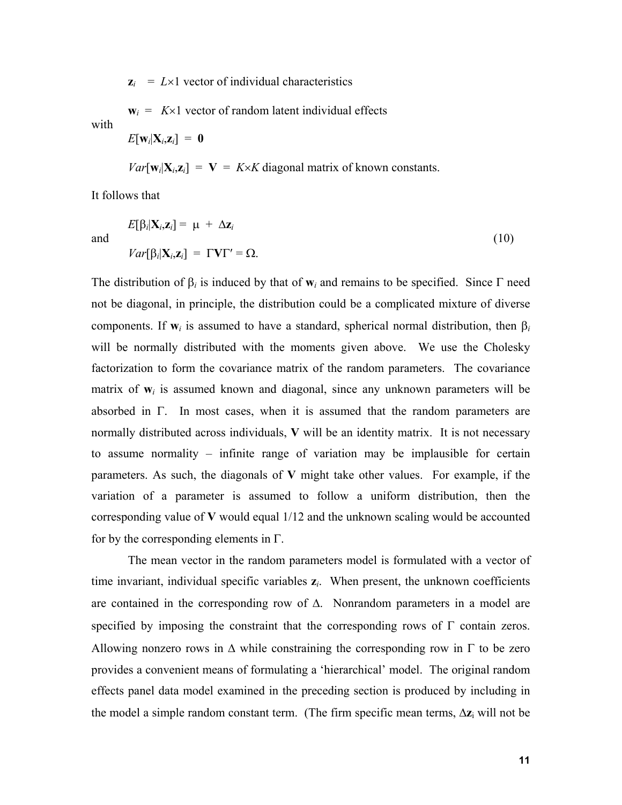$z_i$  =  $L \times 1$  vector of individual characteristics

 $w_i = K \times 1$  vector of random latent individual effects

 $E[\mathbf{w}_i|\mathbf{X}_i,\mathbf{z}_i] = \mathbf{0}$ 

 $Var[\mathbf{w}_i|\mathbf{X}_i, \mathbf{z}_i] = \mathbf{V} = K \times K$  diagonal matrix of known constants.

It follows that

with

$$
E[\beta_i|\mathbf{X}_i,\mathbf{z}_i] = \mu + \Delta \mathbf{z}_i
$$
  
and  

$$
Var[\beta_i|\mathbf{X}_i,\mathbf{z}_i] = \Gamma \mathbf{V}\Gamma' = \Omega.
$$
 (10)

The distribution of  $\beta_i$  is induced by that of  $w_i$  and remains to be specified. Since  $\Gamma$  need not be diagonal, in principle, the distribution could be a complicated mixture of diverse components. If  $w_i$  is assumed to have a standard, spherical normal distribution, then  $\beta_i$ will be normally distributed with the moments given above. We use the Cholesky factorization to form the covariance matrix of the random parameters. The covariance matrix of  $w_i$  is assumed known and diagonal, since any unknown parameters will be absorbed in  $\Gamma$ . In most cases, when it is assumed that the random parameters are normally distributed across individuals, **V** will be an identity matrix. It is not necessary to assume normality – infinite range of variation may be implausible for certain parameters. As such, the diagonals of **V** might take other values. For example, if the variation of a parameter is assumed to follow a uniform distribution, then the corresponding value of **V** would equal 1/12 and the unknown scaling would be accounted for by the corresponding elements in  $\Gamma$ .

The mean vector in the random parameters model is formulated with a vector of time invariant, individual specific variables **z***i*. When present, the unknown coefficients are contained in the corresponding row of ∆. Nonrandom parameters in a model are specified by imposing the constraint that the corresponding rows of  $\Gamma$  contain zeros. Allowing nonzero rows in  $\Delta$  while constraining the corresponding row in  $\Gamma$  to be zero provides a convenient means of formulating a 'hierarchical' model. The original random effects panel data model examined in the preceding section is produced by including in the model a simple random constant term. (The firm specific mean terms, ∆**z**i will not be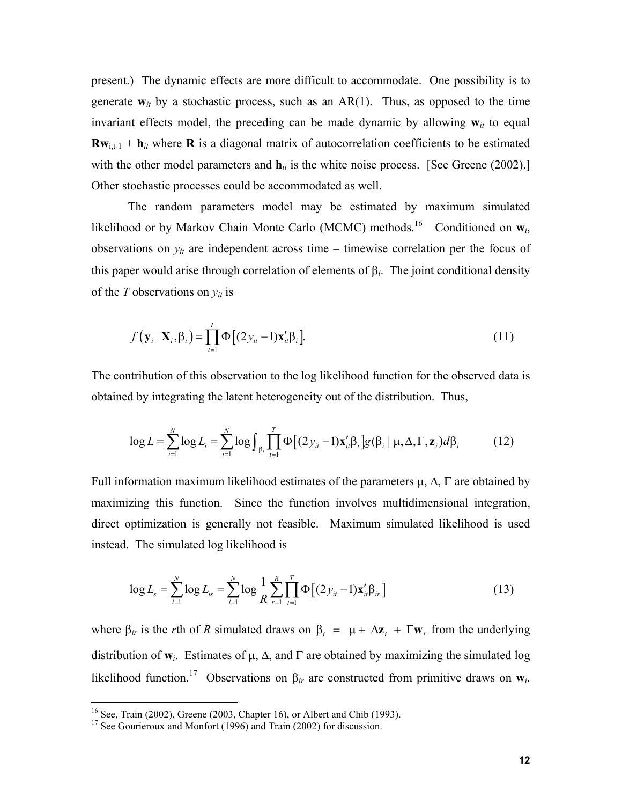present.) The dynamic effects are more difficult to accommodate. One possibility is to generate  $w_{it}$  by a stochastic process, such as an AR(1). Thus, as opposed to the time invariant effects model, the preceding can be made dynamic by allowing  $w_i$  to equal  $\mathbf{R}\mathbf{w}_{i,t-1} + \mathbf{h}_{it}$  where **R** is a diagonal matrix of autocorrelation coefficients to be estimated with the other model parameters and  $h_{it}$  is the white noise process. [See Greene (2002).] Other stochastic processes could be accommodated as well.

The random parameters model may be estimated by maximum simulated likelihood or by Markov Chain Monte Carlo (MCMC) methods.<sup>16</sup> Conditioned on  $w_i$ , observations on  $y_{it}$  are independent across time – timewise correlation per the focus of this paper would arise through correlation of elements of β*i*. The joint conditional density of the *T* observations on  $y_{it}$  is

$$
f(\mathbf{y}_i \mid \mathbf{X}_i, \beta_i) = \prod_{t=1}^T \Phi[(2y_{it} - 1)\mathbf{x}'_{it}\beta_i].
$$
 (11)

The contribution of this observation to the log likelihood function for the observed data is obtained by integrating the latent heterogeneity out of the distribution. Thus,

$$
\log L = \sum_{i=1}^{N} \log L_i = \sum_{i=1}^{N} \log \int_{\beta_i} \prod_{t=1}^{T} \Phi \big[ (2y_{it} - 1) \mathbf{x}_{it}' \beta_i \big] g(\beta_i \mid \mu, \Delta, \Gamma, \mathbf{z}_i) d\beta_i \tag{12}
$$

Full information maximum likelihood estimates of the parameters  $\mu$ ,  $\Delta$ ,  $\Gamma$  are obtained by maximizing this function. Since the function involves multidimensional integration, direct optimization is generally not feasible. Maximum simulated likelihood is used instead. The simulated log likelihood is

$$
\log L_{s} = \sum_{i=1}^{N} \log L_{is} = \sum_{i=1}^{N} \log \frac{1}{R} \sum_{r=1}^{R} \prod_{t=1}^{T} \Phi \left[ (2y_{it} - 1) \mathbf{x}_{it}' \beta_{ir} \right]
$$
(13)

where  $\beta_{ir}$  is the *r*th of *R* simulated draws on  $\beta_i = \mu + \Delta z_i + \Gamma w_i$  from the underlying distribution of  $w_i$ . Estimates of  $\mu$ ,  $\Delta$ , and  $\Gamma$  are obtained by maximizing the simulated log likelihood function.<sup>17</sup> Observations on  $\beta_{ir}$  are constructed from primitive draws on  $w_i$ .

 $\overline{a}$ 

<span id="page-11-1"></span>

<span id="page-11-0"></span><sup>&</sup>lt;sup>16</sup> See, Train (2002), Greene (2003, Chapter 16), or Albert and Chib (1993). <sup>17</sup> See Gourieroux and Monfort (1996) and Train (2002) for discussion.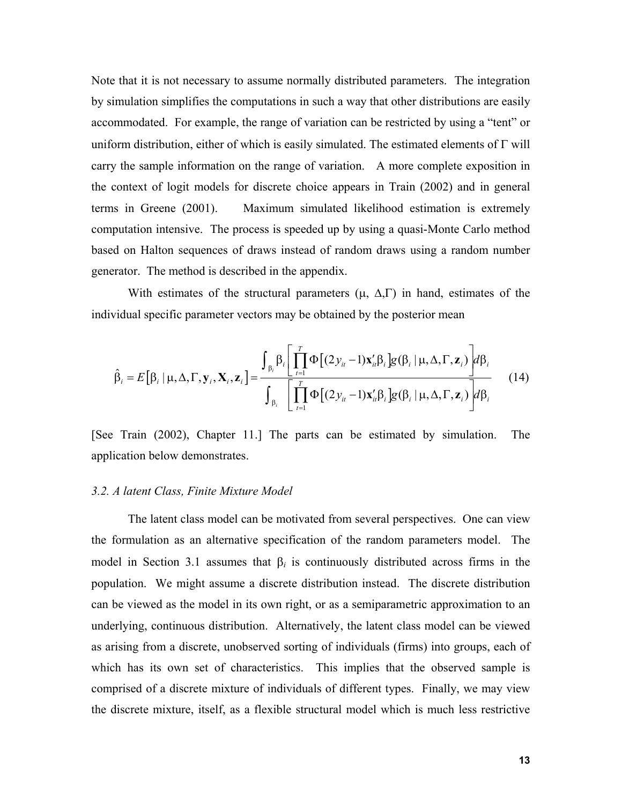Note that it is not necessary to assume normally distributed parameters. The integration by simulation simplifies the computations in such a way that other distributions are easily accommodated. For example, the range of variation can be restricted by using a "tent" or uniform distribution, either of which is easily simulated. The estimated elements of  $\Gamma$  will carry the sample information on the range of variation. A more complete exposition in the context of logit models for discrete choice appears in Train (2002) and in general terms in Greene (2001). Maximum simulated likelihood estimation is extremely computation intensive. The process is speeded up by using a quasi-Monte Carlo method based on Halton sequences of draws instead of random draws using a random number generator. The method is described in the appendix.

With estimates of the structural parameters  $(\mu, \Delta, \Gamma)$  in hand, estimates of the individual specific parameter vectors may be obtained by the posterior mean

$$
\hat{\beta}_{i} = E\left[\beta_{i} \mid \mu, \Delta, \Gamma, \mathbf{y}_{i}, \mathbf{X}_{i}, \mathbf{z}_{i}\right] = \frac{\int_{\beta_{i}} \beta_{i} \left[\prod_{t=1}^{T} \Phi\left[(2y_{it} - 1)\mathbf{x}_{it}^{\prime} \beta_{i}\right] g(\beta_{i} \mid \mu, \Delta, \Gamma, \mathbf{z}_{i})\right] d\beta_{i}}{\int_{\beta_{i}} \left[\prod_{t=1}^{T} \Phi\left[(2y_{it} - 1)\mathbf{x}_{it}^{\prime} \beta_{i}\right] g(\beta_{i} \mid \mu, \Delta, \Gamma, \mathbf{z}_{i})\right] d\beta_{i}} \qquad (14)
$$

[See Train (2002), Chapter 11.] The parts can be estimated by simulation. The application below demonstrates.

#### *3.2. A latent Class, Finite Mixture Model*

The latent class model can be motivated from several perspectives. One can view the formulation as an alternative specification of the random parameters model. The model in Section 3.1 assumes that  $\beta_i$  is continuously distributed across firms in the population. We might assume a discrete distribution instead. The discrete distribution can be viewed as the model in its own right, or as a semiparametric approximation to an underlying, continuous distribution. Alternatively, the latent class model can be viewed as arising from a discrete, unobserved sorting of individuals (firms) into groups, each of which has its own set of characteristics. This implies that the observed sample is comprised of a discrete mixture of individuals of different types. Finally, we may view the discrete mixture, itself, as a flexible structural model which is much less restrictive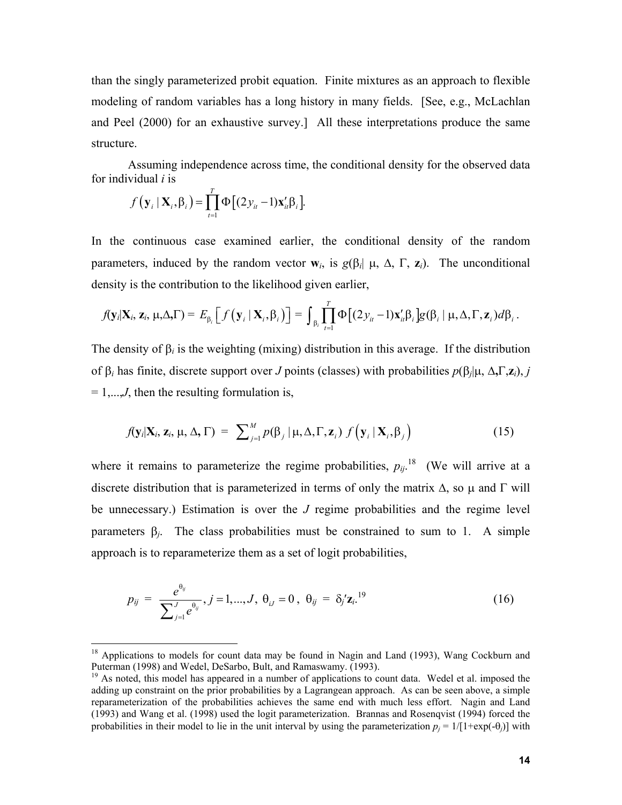<span id="page-13-1"></span>than the singly parameterized probit equation. Finite mixtures as an approach to flexible modeling of random variables has a long history in many fields. [See, e.g., McLachlan and Peel (2000) for an exhaustive survey.] All these interpretations produce the same structure.

Assuming independence across time, the conditional density for the observed data for individual *i* is

$$
f(\mathbf{y}_i \mid \mathbf{X}_i, \boldsymbol{\beta}_i) = \prod_{t=1}^T \Phi \big[ (2y_{it} - 1) \mathbf{x}'_{it} \boldsymbol{\beta}_i \big].
$$

 $\overline{a}$ 

In the continuous case examined earlier, the conditional density of the random parameters, induced by the random vector  $\mathbf{w}_i$ , is  $g(\beta_i | \mu, \Delta, \Gamma, \mathbf{z}_i)$ . The unconditional density is the contribution to the likelihood given earlier,

$$
f(\mathbf{y}_i|\mathbf{X}_i,\mathbf{z}_i,\mu,\Delta,\Gamma)=E_{\beta_i}\Big[f(\mathbf{y}_i\mid\mathbf{X}_i,\beta_i)\Big]=\int_{\beta_i}\prod_{t=1}^T\Phi\big[(2y_{it}-1)\mathbf{x}_{it}'\beta_i\big]g(\beta_i\mid\mu,\Delta,\Gamma,\mathbf{z}_i)d\beta_i.
$$

The density of  $\beta_i$  is the weighting (mixing) distribution in this average. If the distribution of β*i* has finite, discrete support over *J* points (classes) with probabilities *p*(β*j*|µ, ∆**,**Γ,**z***i*), *j*  $= 1,...,J$ , then the resulting formulation is,

$$
f(\mathbf{y}_i|\mathbf{X}_i,\mathbf{z}_i,\mu,\Delta,\Gamma) = \sum_{j=1}^M p(\beta_j | \mu,\Delta,\Gamma,\mathbf{z}_i) f(\mathbf{y}_i | \mathbf{X}_i,\beta_j)
$$
(15)

where it remains to parameterize the regime probabilities,  $p_{ij}$ <sup>18</sup> (We will arrive at a discrete distribution that is parameterized in terms of only the matrix  $\Delta$ , so u and  $\Gamma$  will be unnecessary.) Estimation is over the *J* regime probabilities and the regime level parameters  $\beta_i$ . The class probabilities must be constrained to sum to 1. A simple approach is to reparameterize them as a set of logit probabilities,

$$
p_{ij} = \frac{e^{\theta_{ij}}}{\sum_{j=1}^{J} e^{\theta_{ij}}}, j = 1,...,J, \theta_{i,j} = 0, \theta_{ij} = \delta_j' \mathbf{z}_i^{19}
$$
 (16)

<span id="page-13-0"></span><sup>&</sup>lt;sup>18</sup> Applications to models for count data may be found in Nagin and Land (1993), Wang Cockburn and Puterman (1998) and Wedel, DeSarbo, Bult, and Ramaswamy. (1993).<br><sup>19</sup> As noted, this model has appeared in a number of applications to count data. Wedel et al. imposed the

adding up constraint on the prior probabilities by a Lagrangean approach. As can be seen above, a simple reparameterization of the probabilities achieves the same end with much less effort. Nagin and Land (1993) and Wang et al. (1998) used the logit parameterization. Brannas and Rosenqvist (1994) forced the probabilities in their model to lie in the unit interval by using the parameterization  $p_j = 1/[1+\exp(-\theta_j)]$  with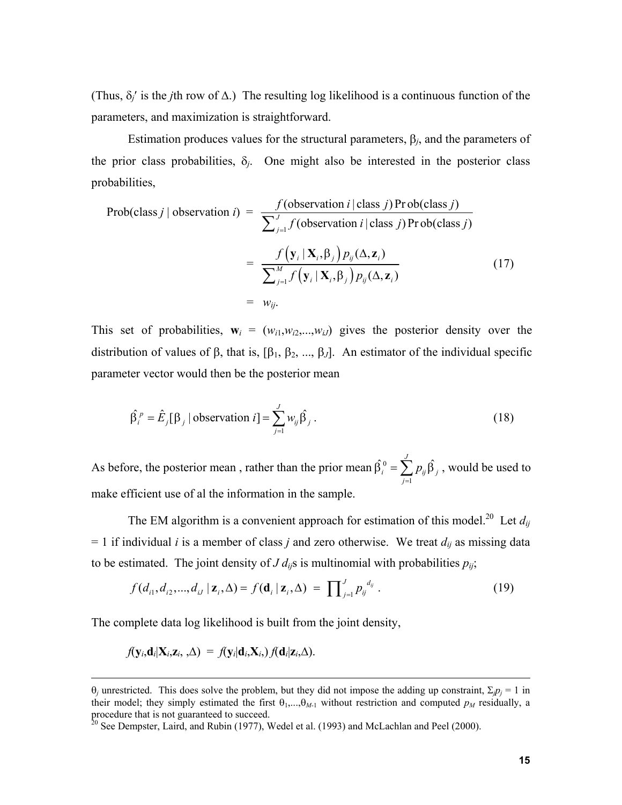(Thus, δ*j*′ is the *j*th row of ∆.) The resulting log likelihood is a continuous function of the parameters, and maximization is straightforward.

Estimation produces values for the structural parameters,  $\beta_j$ , and the parameters of the prior class probabilities,  $\delta$ <sub>*i*</sub>. One might also be interested in the posterior class probabilities,

Prob(class j | observation i) = 
$$
\frac{f(\text{observation } i | \text{class } j) \text{Prob}(\text{class } j)}{\sum_{j=1}^{J} f(\text{observation } i | \text{class } j) \text{Prob}(\text{class } j)}
$$

$$
= \frac{f(\mathbf{y}_i | \mathbf{X}_i, \beta_j) p_{ij}(\Delta, \mathbf{z}_i)}{\sum_{j=1}^{M} f(\mathbf{y}_i | \mathbf{X}_i, \beta_j) p_{ij}(\Delta, \mathbf{z}_i)}
$$
(17)
$$
= w_{ij}.
$$

This set of probabilities,  $\mathbf{w}_i = (w_{i1}, w_{i2},...,w_{iJ})$  gives the posterior density over the distribution of values of β, that is,  $[β<sub>1</sub>, β<sub>2</sub>, ..., β<sub>J</sub>]$ . An estimator of the individual specific parameter vector would then be the posterior mean

$$
\hat{\beta}_i^p = \hat{E}_j[\beta_j | \text{observation } i] = \sum_{j=1}^J w_{ij} \hat{\beta}_j. \tag{18}
$$

As before, the posterior mean, rather than the prior mean  $\hat{\beta}_i^0 = \sum p_{ij} \hat{\beta}_j$ , would be used to make efficient use of al the information in the sample. 1  $\hat{\beta}_i^0 = \sum^J p_i^0$ *j p*  $\hat{\beta}_i^0 = \sum_{j=1}^n$ 

The EM algorithm is a convenient approach for estimation of this model.<sup>20</sup> Let  $d_{ii}$  $= 1$  if individual *i* is a member of class *j* and zero otherwise. We treat  $d_{ij}$  as missing data to be estimated. The joint density of  $J d_{ij}$ s is multinomial with probabilities  $p_{ij}$ ;

$$
f(d_{i1}, d_{i2}, ..., d_{iJ} | \mathbf{z}_i, \Delta) = f(\mathbf{d}_i | \mathbf{z}_i, \Delta) = \prod_{j=1}^{J} p_{ij}^{d_{ij}}.
$$
 (19)

The complete data log likelihood is built from the joint density,

$$
f(\mathbf{y}_i, \mathbf{d}_i | \mathbf{X}_i, \mathbf{z}_i, \Delta) = f(\mathbf{y}_i | \mathbf{d}_i, \mathbf{X}_i, f(\mathbf{d}_i | \mathbf{z}_i, \Delta).
$$

 $\overline{a}$ 

θ*<sup>j</sup>* unrestricted. This does solve the problem, but they did not impose the adding up constraint, Σ*jpj* = 1 in their model; they simply estimated the first  $\theta_1,...,\theta_{M-1}$  without restriction and computed  $p_M$  residually, a procedure that is not guaranteed to succeed.

<span id="page-14-0"></span> $20$  See Dempster, Laird, and Rubin (1977), Wedel et al. (1993) and McLachlan and Peel (2000).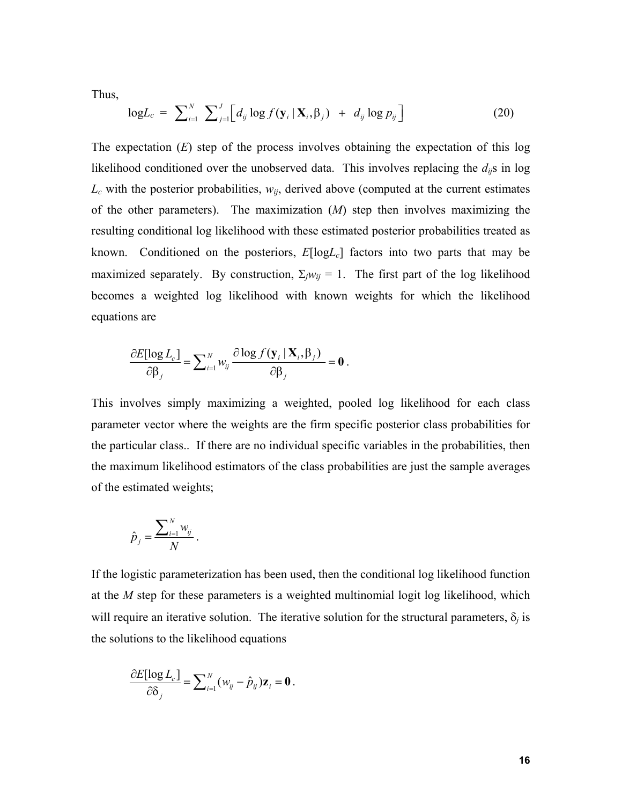Thus,

$$
\log L_c = \sum_{i=1}^N \sum_{j=1}^J \left[ d_{ij} \log f(\mathbf{y}_i \,|\, \mathbf{X}_i, \boldsymbol{\beta}_j) + d_{ij} \log p_{ij} \right] \tag{20}
$$

The expectation  $(E)$  step of the process involves obtaining the expectation of this log likelihood conditioned over the unobserved data. This involves replacing the  $d_{ij}$ s in log  $L_c$  with the posterior probabilities,  $w_{ij}$ , derived above (computed at the current estimates of the other parameters). The maximization (*M*) step then involves maximizing the resulting conditional log likelihood with these estimated posterior probabilities treated as known. Conditioned on the posteriors, *E*[log*Lc*] factors into two parts that may be maximized separately. By construction,  $\Sigma_j w_{ij} = 1$ . The first part of the log likelihood becomes a weighted log likelihood with known weights for which the likelihood equations are

$$
\frac{\partial E[\log L_c]}{\partial \beta_j} = \sum_{i=1}^N w_{ij} \frac{\partial \log f(\mathbf{y}_i \mid \mathbf{X}_i, \beta_j)}{\partial \beta_j} = \mathbf{0}.
$$

This involves simply maximizing a weighted, pooled log likelihood for each class parameter vector where the weights are the firm specific posterior class probabilities for the particular class.. If there are no individual specific variables in the probabilities, then the maximum likelihood estimators of the class probabilities are just the sample averages of the estimated weights;

$$
\hat{p}_j = \frac{\sum_{i=1}^N w_{ij}}{N}.
$$

If the logistic parameterization has been used, then the conditional log likelihood function at the *M* step for these parameters is a weighted multinomial logit log likelihood, which will require an iterative solution. The iterative solution for the structural parameters,  $\delta_i$  is the solutions to the likelihood equations

$$
\frac{\partial E[\log L_c]}{\partial \delta_j} = \sum_{i=1}^N (w_{ij} - \hat{p}_{ij}) \mathbf{z}_i = \mathbf{0}.
$$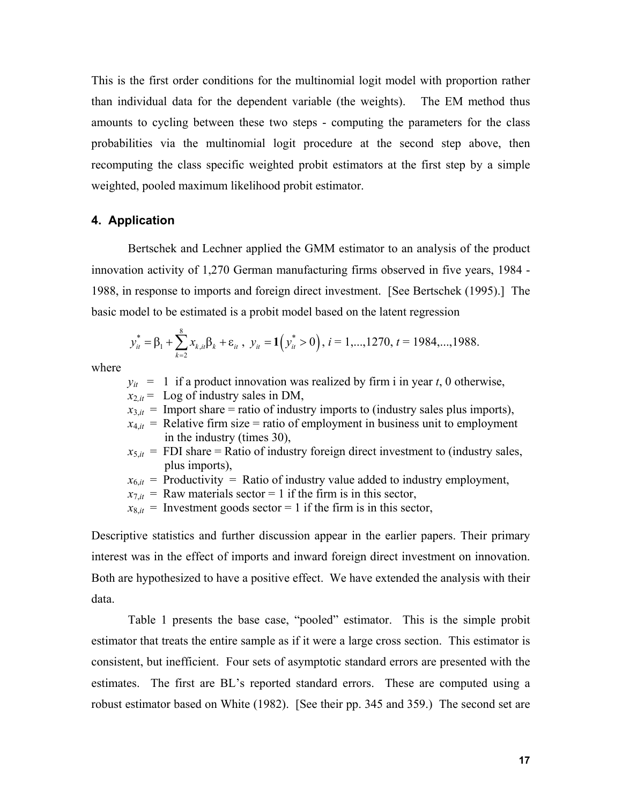This is the first order conditions for the multinomial logit model with proportion rather than individual data for the dependent variable (the weights). The EM method thus amounts to cycling between these two steps - computing the parameters for the class probabilities via the multinomial logit procedure at the second step above, then recomputing the class specific weighted probit estimators at the first step by a simple weighted, pooled maximum likelihood probit estimator.

#### **4. Application**

Bertschek and Lechner applied the GMM estimator to an analysis of the product innovation activity of 1,270 German manufacturing firms observed in five years, 1984 - 1988, in response to imports and foreign direct investment. [See Bertschek (1995).] The basic model to be estimated is a probit model based on the latent regression

$$
y_{it}^* = \beta_1 + \sum_{k=2}^8 x_{k,it} \beta_k + \varepsilon_{it}, \ y_{it} = \mathbf{1}(y_{it}^* > 0), i = 1,...,1270, t = 1984,...,1988.
$$

where

 $y_{it}$  = 1 if a product innovation was realized by firm i in year *t*, 0 otherwise,  $x_{2it}$  = Log of industry sales in DM,  $x_{3,i}$  = Import share = ratio of industry imports to (industry sales plus imports),  $x_{4,i}$  = Relative firm size = ratio of employment in business unit to employment in the industry (times 30),  $x_{5,i}$  = FDI share = Ratio of industry foreign direct investment to (industry sales, plus imports),  $x_{6,i}$  = Productivity = Ratio of industry value added to industry employment,

 $x_{7,i}$  = Raw materials sector = 1 if the firm is in this sector,

 $x_{8,i}$  = Investment goods sector = 1 if the firm is in this sector,

Descriptive statistics and further discussion appear in the earlier papers. Their primary interest was in the effect of imports and inward foreign direct investment on innovation. Both are hypothesized to have a positive effect. We have extended the analysis with their data.

Table 1 presents the base case, "pooled" estimator. This is the simple probit estimator that treats the entire sample as if it were a large cross section. This estimator is consistent, but inefficient. Four sets of asymptotic standard errors are presented with the estimates. The first are BL's reported standard errors. These are computed using a robust estimator based on White (1982). [See their pp. 345 and 359.) The second set are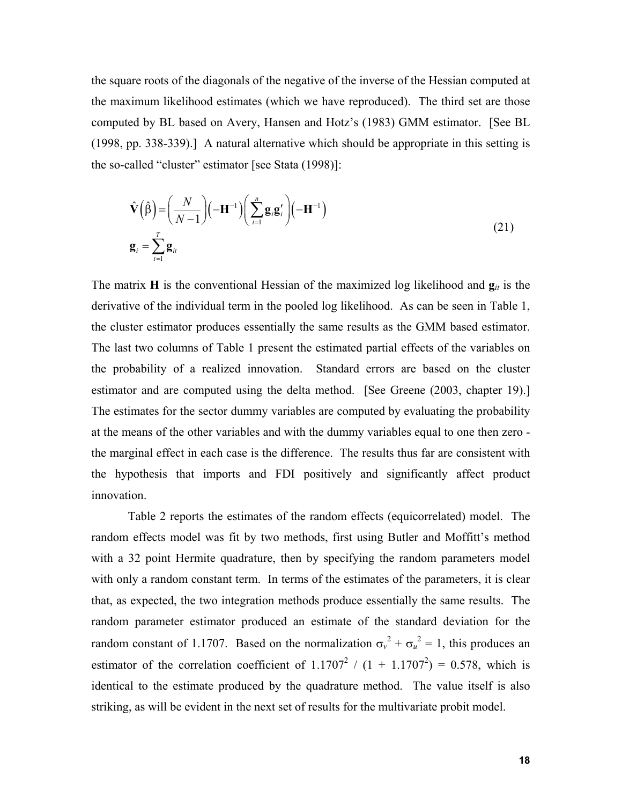the square roots of the diagonals of the negative of the inverse of the Hessian computed at the maximum likelihood estimates (which we have reproduced). The third set are those computed by BL based on Avery, Hansen and Hotz's (1983) GMM estimator. [See BL (1998, pp. 338-339).] A natural alternative which should be appropriate in this setting is the so-called "cluster" estimator [see Stata (1998)]:

$$
\hat{\mathbf{V}}\left(\hat{\boldsymbol{\beta}}\right) = \left(\frac{N}{N-1}\right)\left(-\mathbf{H}^{-1}\right)\left(\sum_{i=1}^{n}\mathbf{g}_{i}\mathbf{g}_{i}'\right)\left(-\mathbf{H}^{-1}\right)
$$
\n
$$
\mathbf{g}_{i} = \sum_{i=1}^{T}\mathbf{g}_{ii}
$$
\n(21)

The matrix **H** is the conventional Hessian of the maximized log likelihood and  $\mathbf{g}_{it}$  is the derivative of the individual term in the pooled log likelihood. As can be seen in Table 1, the cluster estimator produces essentially the same results as the GMM based estimator. The last two columns of Table 1 present the estimated partial effects of the variables on the probability of a realized innovation. Standard errors are based on the cluster estimator and are computed using the delta method. [See Greene (2003, chapter 19).] The estimates for the sector dummy variables are computed by evaluating the probability at the means of the other variables and with the dummy variables equal to one then zero the marginal effect in each case is the difference. The results thus far are consistent with the hypothesis that imports and FDI positively and significantly affect product innovation.

Table 2 reports the estimates of the random effects (equicorrelated) model. The random effects model was fit by two methods, first using Butler and Moffitt's method with a 32 point Hermite quadrature, then by specifying the random parameters model with only a random constant term. In terms of the estimates of the parameters, it is clear that, as expected, the two integration methods produce essentially the same results. The random parameter estimator produced an estimate of the standard deviation for the random constant of 1.1707. Based on the normalization  $\sigma_v^2 + \sigma_u^2 = 1$ , this produces an estimator of the correlation coefficient of  $1.1707^2 / (1 + 1.1707^2) = 0.578$ , which is identical to the estimate produced by the quadrature method. The value itself is also striking, as will be evident in the next set of results for the multivariate probit model.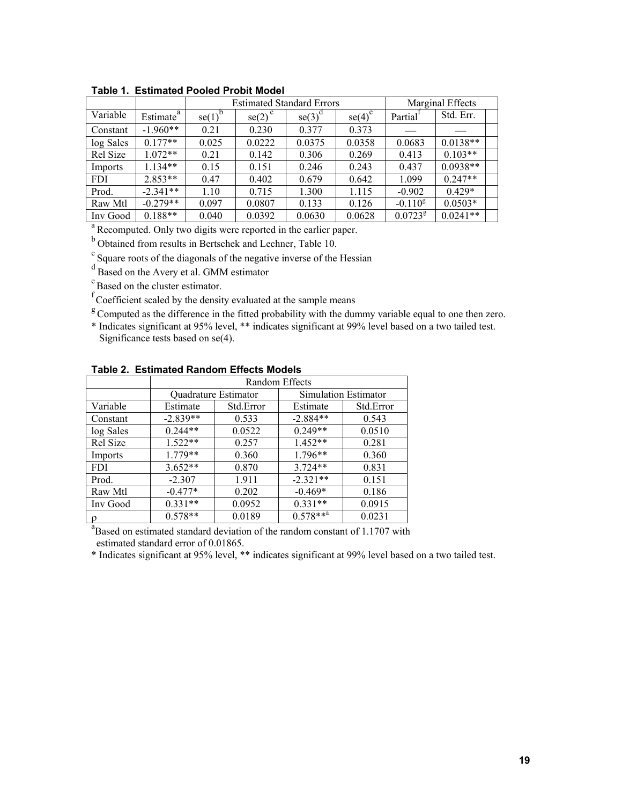|            |                       |                           | <b>Estimated Standard Errors</b> |                  | Marginal Effects |                       |            |  |
|------------|-----------------------|---------------------------|----------------------------------|------------------|------------------|-----------------------|------------|--|
| Variable   | Estimate <sup>a</sup> | $\text{se}(1)^{\text{b}}$ | $\text{se}(2)^{\text{c}}$        | $\text{se}(3)^d$ | $\text{se}(4)^e$ | Partial <sup>'</sup>  | Std. Err.  |  |
| Constant   | $-1.960**$            | 0.21                      | 0.230                            | 0.377            | 0.373            |                       |            |  |
| log Sales  | $0.177**$             | 0.025                     | 0.0222                           | 0.0375           | 0.0358           | 0.0683                | $0.0138**$ |  |
| Rel Size   | $1.072**$             | 0.21                      | 0.142                            | 0.306            | 0.269            | 0.413                 | $0.103**$  |  |
| Imports    | $1.134**$             | 0.15                      | 0.151                            | 0.246            | 0.243            | 0.437                 | $0.0938**$ |  |
| <b>FDI</b> | $2.853**$             | 0.47                      | 0.402                            | 0.679            | 0.642            | 1.099                 | $0.247**$  |  |
| Prod.      | $-2.341**$            | 1.10                      | 0.715                            | 1.300            | 1.115            | $-0.902$              | $0.429*$   |  |
| Raw Mtl    | $-0.279**$            | 0.097                     | 0.0807                           | 0.133            | 0.126            | $-0.110^{8}$          | $0.0503*$  |  |
| Inv Good   | $0.188**$             | 0.040                     | 0.0392                           | 0.0630           | 0.0628           | $0.0723$ <sup>g</sup> | $0.0241**$ |  |

**Table 1. Estimated Pooled Probit Model** 

 $B<sup>b</sup>$  Recomputed. Only two digits were reported in the earlier paper.<br><sup>b</sup> Obtained from results in Bertschek and Lechner, Table 10.

 $\degree$  Square roots of the diagonals of the negative inverse of the Hessian

 $\frac{d}{d}$  Based on the Avery et al. GMM estimator

<sup>e</sup> Based on the cluster estimator.

f Coefficient scaled by the density evaluated at the sample means

 ${}^{g}$ Computed as the difference in the fitted probability with the dummy variable equal to one then zero.

\* Indicates significant at 95% level, \*\* indicates significant at 99% level based on a two tailed test. Significance tests based on se(4).

|            | Random Effects |                      |                         |                      |  |  |  |  |
|------------|----------------|----------------------|-------------------------|----------------------|--|--|--|--|
|            |                | Quadrature Estimator |                         | Simulation Estimator |  |  |  |  |
| Variable   | Estimate       | Std.Error            | Estimate                | Std.Error            |  |  |  |  |
| Constant   | $-2.839**$     | 0.533                | $-2.884**$              | 0.543                |  |  |  |  |
| log Sales  | $0.244**$      | 0.0522               | $0.249**$               | 0.0510               |  |  |  |  |
| Rel Size   | $1.522**$      | 0.257                | $1.452**$               | 0.281                |  |  |  |  |
| Imports    | $1.779**$      | 0.360                | $1.796**$               | 0.360                |  |  |  |  |
| <b>FDI</b> | $3.652**$      | 0.870                | $3.724**$               | 0.831                |  |  |  |  |
| Prod.      | $-2.307$       | 1.911                | $-2.321**$              | 0.151                |  |  |  |  |
| Raw Mtl    | $-0.477*$      | 0.202                | $-0.469*$               | 0.186                |  |  |  |  |
| Inv Good   | $0.331**$      | 0.0952               | $0.331**$               | 0.0915               |  |  |  |  |
| ρ          | $0.578**$      | 0.0189               | $0.578***$ <sup>a</sup> | 0.0231               |  |  |  |  |

**Table 2. Estimated Random Effects Models** 

**Based on estimated standard deviation of the random constant of 1.1707 with** estimated standard error of 0.01865.

\* Indicates significant at 95% level, \*\* indicates significant at 99% level based on a two tailed test.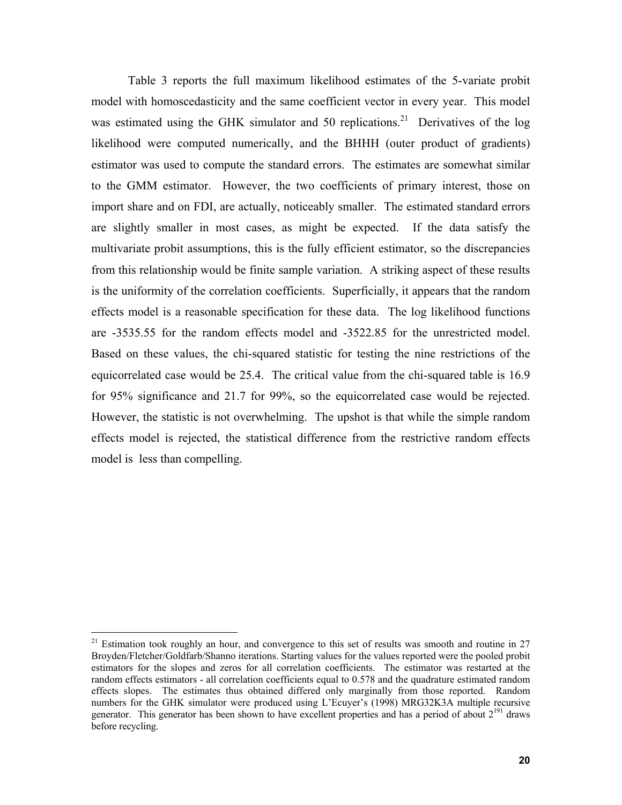Table 3 reports the full maximum likelihood estimates of the 5-variate probit model with homoscedasticity and the same coefficient vector in every year. This model was estimated using the GHK simulator and 50 replications.<sup>21</sup> Derivatives of the log likelihood were computed numerically, and the BHHH (outer product of gradients) estimator was used to compute the standard errors. The estimates are somewhat similar to the GMM estimator. However, the two coefficients of primary interest, those on import share and on FDI, are actually, noticeably smaller. The estimated standard errors are slightly smaller in most cases, as might be expected. If the data satisfy the multivariate probit assumptions, this is the fully efficient estimator, so the discrepancies from this relationship would be finite sample variation. A striking aspect of these results is the uniformity of the correlation coefficients. Superficially, it appears that the random effects model is a reasonable specification for these data. The log likelihood functions are -3535.55 for the random effects model and -3522.85 for the unrestricted model. Based on these values, the chi-squared statistic for testing the nine restrictions of the equicorrelated case would be 25.4. The critical value from the chi-squared table is 16.9 for 95% significance and 21.7 for 99%, so the equicorrelated case would be rejected. However, the statistic is not overwhelming. The upshot is that while the simple random effects model is rejected, the statistical difference from the restrictive random effects model is less than compelling.

 $\overline{a}$ 

<span id="page-19-0"></span><sup>&</sup>lt;sup>21</sup> Estimation took roughly an hour, and convergence to this set of results was smooth and routine in 27 Broyden/Fletcher/Goldfarb/Shanno iterations. Starting values for the values reported were the pooled probit estimators for the slopes and zeros for all correlation coefficients. The estimator was restarted at the random effects estimators - all correlation coefficients equal to 0.578 and the quadrature estimated random effects slopes. The estimates thus obtained differed only marginally from those reported. Random numbers for the GHK simulator were produced using L'Ecuyer's (1998) MRG32K3A multiple recursive generator. This generator has been shown to have excellent properties and has a period of about  $2^{191}$  draws before recycling.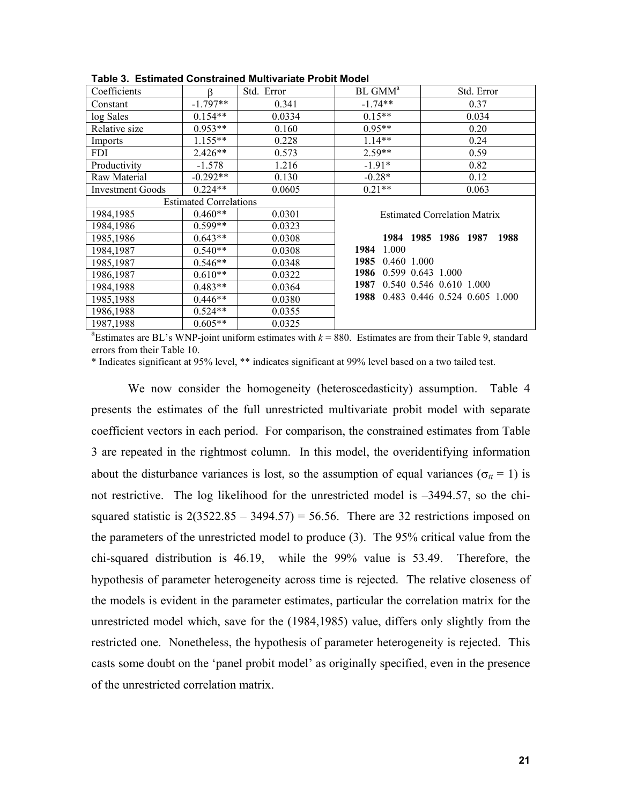| Coefficients            | ß                             | Std. Error | BL GMM <sup>a</sup> | Std. Error                          |
|-------------------------|-------------------------------|------------|---------------------|-------------------------------------|
| Constant                | $-1.797**$                    | 0.341      | $-1.74**$           | 0.37                                |
| log Sales               | $0.154**$                     | 0.0334     | $0.15**$            | 0.034                               |
| Relative size           | $0.953**$                     | 0.160      | $0.95**$            | 0.20                                |
| <b>Imports</b>          | $1.155**$                     | 0.228      | $1.14**$            | 0.24                                |
| <b>FDI</b>              | $2.426**$                     | 0.573      | $2.59**$            | 0.59                                |
| Productivity            | $-1.578$                      | 1.216      | $-1.91*$            | 0.82                                |
| Raw Material            | $-0.292**$                    | 0.130      | $-0.28*$            | 0.12                                |
| <b>Investment Goods</b> | $0.224**$                     | 0.0605     | $0.21**$            | 0.063                               |
|                         | <b>Estimated Correlations</b> |            |                     |                                     |
| 1984, 1985              | $0.460**$                     | 0.0301     |                     | <b>Estimated Correlation Matrix</b> |
| 1984, 1986              | $0.599**$                     | 0.0323     |                     |                                     |
| 1985,1986               | $0.643**$                     | 0.0308     |                     | 1984 1985 1986 1987<br>1988         |
| 1984,1987               | $0.540**$                     | 0.0308     | 1984<br>1.000       |                                     |
| 1985, 1987              | $0.546**$                     | 0.0348     | 0.460 1.000<br>1985 |                                     |
| 1986, 1987              | $0.610**$                     | 0.0322     | 1986                | 0.599 0.643 1.000                   |
| 1984, 1988              | $0.483**$                     | 0.0364     | 1987                | 0.540 0.546 0.610 1.000             |
| 1985,1988               | $0.446**$                     | 0.0380     |                     | 1988 0.483 0.446 0.524 0.605 1.000  |
| 1986,1988               | $0.524**$                     | 0.0355     |                     |                                     |
| 1987,1988               | $0.605**$                     | 0.0325     |                     |                                     |

**Table 3. Estimated Constrained Multivariate Probit Model** 

<sup>a</sup>Estimates are BL's WNP-joint uniform estimates with  $k = 880$ . Estimates are from their Table 9, standard errors from their Table 10.

\* Indicates significant at 95% level, \*\* indicates significant at 99% level based on a two tailed test.

We now consider the homogeneity (heteroscedasticity) assumption. Table 4 presents the estimates of the full unrestricted multivariate probit model with separate coefficient vectors in each period. For comparison, the constrained estimates from Table 3 are repeated in the rightmost column. In this model, the overidentifying information about the disturbance variances is lost, so the assumption of equal variances ( $\sigma_t$  = 1) is not restrictive. The log likelihood for the unrestricted model is –3494.57, so the chisquared statistic is  $2(3522.85 - 3494.57) = 56.56$ . There are 32 restrictions imposed on the parameters of the unrestricted model to produce (3). The 95% critical value from the chi-squared distribution is 46.19, while the 99% value is 53.49. Therefore, the hypothesis of parameter heterogeneity across time is rejected. The relative closeness of the models is evident in the parameter estimates, particular the correlation matrix for the unrestricted model which, save for the (1984,1985) value, differs only slightly from the restricted one. Nonetheless, the hypothesis of parameter heterogeneity is rejected. This casts some doubt on the 'panel probit model' as originally specified, even in the presence of the unrestricted correlation matrix.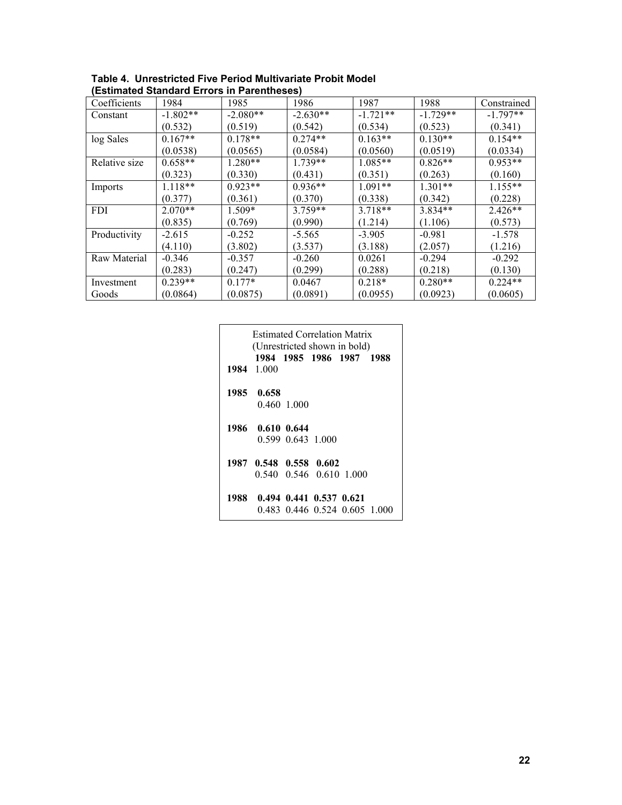| Coefficients  | 1984       | 1985       | 1986       | 1987       | 1988       | Constrained |
|---------------|------------|------------|------------|------------|------------|-------------|
| Constant      | $-1.802**$ | $-2.080**$ | $-2.630**$ | $-1.721**$ | $-1.729**$ | $-1.797**$  |
|               | (0.532)    | (0.519)    | (0.542)    | (0.534)    | (0.523)    | (0.341)     |
| log Sales     | $0.167**$  | $0.178**$  | $0.274**$  | $0.163**$  | $0.130**$  | $0.154**$   |
|               | (0.0538)   | (0.0565)   | (0.0584)   | (0.0560)   | (0.0519)   | (0.0334)    |
| Relative size | $0.658**$  | $1.280**$  | $1.739**$  | $1.085**$  | $0.826**$  | $0.953**$   |
|               | (0.323)    | (0.330)    | (0.431)    | (0.351)    | (0.263)    | (0.160)     |
| Imports       | $1.118**$  | $0.923**$  | $0.936**$  | $1.091**$  | $1.301**$  | $1.155**$   |
|               | (0.377)    | (0.361)    | (0.370)    | (0.338)    | (0.342)    | (0.228)     |
| <b>FDI</b>    | $2.070**$  | $1.509*$   | $3.759**$  | $3.718**$  | $3.834**$  | $2.426**$   |
|               | (0.835)    | (0.769)    | (0.990)    | (1.214)    | (1.106)    | (0.573)     |
| Productivity  | $-2.615$   | $-0.252$   | $-5.565$   | $-3.905$   | $-0.981$   | $-1.578$    |
|               | (4.110)    | (3.802)    | (3.537)    | (3.188)    | (2.057)    | (1.216)     |
| Raw Material  | $-0.346$   | $-0.357$   | $-0.260$   | 0.0261     | $-0.294$   | $-0.292$    |
|               | (0.283)    | (0.247)    | (0.299)    | (0.288)    | (0.218)    | (0.130)     |
| Investment    | $0.239**$  | $0.177*$   | 0.0467     | $0.218*$   | $0.280**$  | $0.224**$   |
| Goods         | (0.0864)   | (0.0875)   | (0.0891)   | (0.0955)   | (0.0923)   | (0.0605)    |

|  | Table 4. Unrestricted Five Period Multivariate Probit Model |  |
|--|-------------------------------------------------------------|--|
|  | (Estimated Standard Errors in Parentheses)                  |  |

| <b>Estimated Correlation Matrix</b><br>(Unrestricted shown in bold)<br>1984 1985 1986 1987 1988 |                              |                   |                               |  |  |  |  |  |
|-------------------------------------------------------------------------------------------------|------------------------------|-------------------|-------------------------------|--|--|--|--|--|
|                                                                                                 | 1984 1 000                   |                   |                               |  |  |  |  |  |
|                                                                                                 | 1985 0.658                   | 0.460 1.000       |                               |  |  |  |  |  |
|                                                                                                 | 1986 0.610 0.644             | 0.599 0.643 1.000 |                               |  |  |  |  |  |
|                                                                                                 | 1987 0.548 0.558 0.602       |                   | 0.540 0.546 0.610 1.000       |  |  |  |  |  |
|                                                                                                 | 1988 0.494 0.441 0.537 0.621 |                   | 0.483 0.446 0.524 0.605 1.000 |  |  |  |  |  |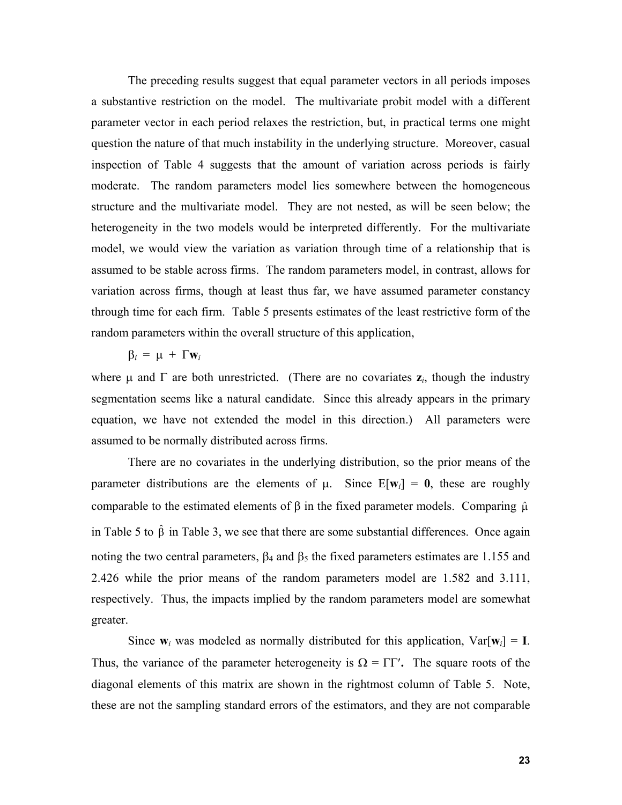The preceding results suggest that equal parameter vectors in all periods imposes a substantive restriction on the model. The multivariate probit model with a different parameter vector in each period relaxes the restriction, but, in practical terms one might question the nature of that much instability in the underlying structure. Moreover, casual inspection of Table 4 suggests that the amount of variation across periods is fairly moderate. The random parameters model lies somewhere between the homogeneous structure and the multivariate model. They are not nested, as will be seen below; the heterogeneity in the two models would be interpreted differently. For the multivariate model, we would view the variation as variation through time of a relationship that is assumed to be stable across firms. The random parameters model, in contrast, allows for variation across firms, though at least thus far, we have assumed parameter constancy through time for each firm. Table 5 presents estimates of the least restrictive form of the random parameters within the overall structure of this application,

$$
\beta_i = \mu + \Gamma \mathbf{w}_i
$$

where  $\mu$  and  $\Gamma$  are both unrestricted. (There are no covariates  $z_i$ , though the industry segmentation seems like a natural candidate. Since this already appears in the primary equation, we have not extended the model in this direction.) All parameters were assumed to be normally distributed across firms.

There are no covariates in the underlying distribution, so the prior means of the parameter distributions are the elements of  $\mu$ . Since  $E[w_i] = 0$ , these are roughly comparable to the estimated elements of  $\beta$  in the fixed parameter models. Comparing  $\hat{\mu}$ in Table 5 to  $\hat{\beta}$  in Table 3, we see that there are some substantial differences. Once again noting the two central parameters,  $\beta_4$  and  $\beta_5$  the fixed parameters estimates are 1.155 and 2.426 while the prior means of the random parameters model are 1.582 and 3.111, respectively. Thus, the impacts implied by the random parameters model are somewhat greater.

Since  $w_i$  was modeled as normally distributed for this application,  $Var[w_i] = I$ . Thus, the variance of the parameter heterogeneity is  $\Omega = \Gamma \Gamma'$ . The square roots of the diagonal elements of this matrix are shown in the rightmost column of Table 5. Note, these are not the sampling standard errors of the estimators, and they are not comparable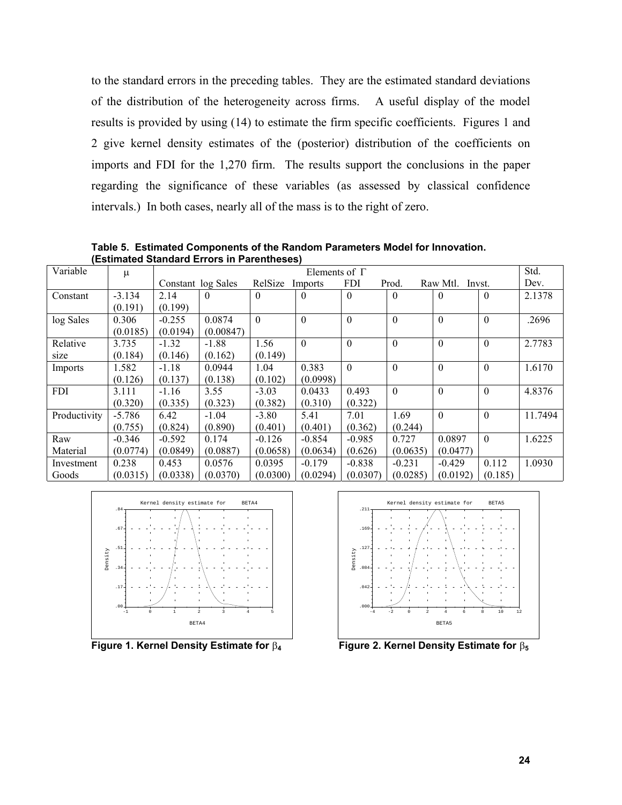to the standard errors in the preceding tables. They are the estimated standard deviations of the distribution of the heterogeneity across firms. A useful display of the model results is provided by using (14) to estimate the firm specific coefficients. Figures 1 and 2 give kernel density estimates of the (posterior) distribution of the coefficients on imports and FDI for the 1,270 firm. The results support the conclusions in the paper regarding the significance of these variables (as assessed by classical confidence intervals.) In both cases, nearly all of the mass is to the right of zero.

**Table 5. Estimated Components of the Random Parameters Model for Innovation. (Estimated Standard Errors in Parentheses)** 

| Variable     | μ        |          | Elements of $\Gamma$ |          |          |                  |          |                  |                | Std.    |
|--------------|----------|----------|----------------------|----------|----------|------------------|----------|------------------|----------------|---------|
|              |          |          | Constant log Sales   | RelSize  | Imports  | <b>FDI</b>       | Prod.    | Raw Mtl.         | Invst.         | Dev.    |
| Constant     | $-3.134$ | 2.14     | $\theta$             | $\theta$ | $\theta$ | $\mathbf{0}$     | $\theta$ | $\theta$         | $\overline{0}$ | 2.1378  |
|              | (0.191)  | (0.199)  |                      |          |          |                  |          |                  |                |         |
| log Sales    | 0.306    | $-0.255$ | 0.0874               | $\theta$ | $\theta$ | $\mathbf{0}$     | $\theta$ | $\boldsymbol{0}$ | $\mathbf{0}$   | .2696   |
|              | (0.0185) | (0.0194) | (0.00847)            |          |          |                  |          |                  |                |         |
| Relative     | 3.735    | $-1.32$  | $-1.88$              | 1.56     | $\theta$ | $\boldsymbol{0}$ | $\theta$ | $\boldsymbol{0}$ | $\mathbf{0}$   | 2.7783  |
| size         | (0.184)  | (0.146)  | (0.162)              | (0.149)  |          |                  |          |                  |                |         |
| Imports      | 1.582    | $-1.18$  | 0.0944               | 1.04     | 0.383    | $\theta$         | $\theta$ | $\boldsymbol{0}$ | $\theta$       | 1.6170  |
|              | (0.126)  | (0.137)  | (0.138)              | (0.102)  | (0.0998) |                  |          |                  |                |         |
| <b>FDI</b>   | 3.111    | $-1.16$  | 3.55                 | $-3.03$  | 0.0433   | 0.493            | $\Omega$ | $\theta$         | $\theta$       | 4.8376  |
|              | (0.320)  | (0.335)  | (0.323)              | (0.382)  | (0.310)  | (0.322)          |          |                  |                |         |
| Productivity | $-5.786$ | 6.42     | $-1.04$              | $-3.80$  | 5.41     | 7.01             | 1.69     | $\theta$         | $\theta$       | 11.7494 |
|              | (0.755)  | (0.824)  | (0.890)              | (0.401)  | (0.401)  | (0.362)          | (0.244)  |                  |                |         |
| Raw          | $-0.346$ | $-0.592$ | 0.174                | $-0.126$ | $-0.854$ | $-0.985$         | 0.727    | 0.0897           | $\theta$       | 1.6225  |
| Material     | (0.0774) | (0.0849) | (0.0887)             | (0.0658) | (0.0634) | (0.626)          | (0.0635) | (0.0477)         |                |         |
| Investment   | 0.238    | 0.453    | 0.0576               | 0.0395   | $-0.179$ | $-0.838$         | $-0.231$ | $-0.429$         | 0.112          | 1.0930  |
| Goods        | (0.0315) | (0.0338) | (0.0370)             | (0.0300) | (0.0294) | (0.0307)         | (0.0285) | (0.0192)         | (0.185)        |         |



**Figure 1. Kernel Density Estimate for**  $\beta_4$  **Figure 2. Kernel Density Estimate for**  $\beta_5$ 

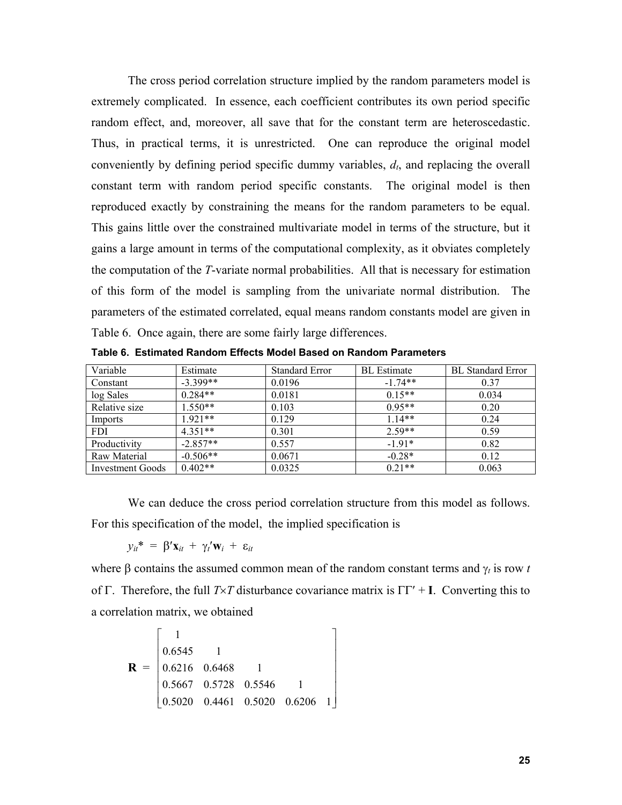The cross period correlation structure implied by the random parameters model is extremely complicated. In essence, each coefficient contributes its own period specific random effect, and, moreover, all save that for the constant term are heteroscedastic. Thus, in practical terms, it is unrestricted. One can reproduce the original model conveniently by defining period specific dummy variables,  $d_t$ , and replacing the overall constant term with random period specific constants. The original model is then reproduced exactly by constraining the means for the random parameters to be equal. This gains little over the constrained multivariate model in terms of the structure, but it gains a large amount in terms of the computational complexity, as it obviates completely the computation of the *T*-variate normal probabilities. All that is necessary for estimation of this form of the model is sampling from the univariate normal distribution. The parameters of the estimated correlated, equal means random constants model are given in Table 6. Once again, there are some fairly large differences.

| Variable         | Estimate   | <b>Standard Error</b> | <b>BL</b> Estimate | <b>BL</b> Standard Error |
|------------------|------------|-----------------------|--------------------|--------------------------|
| Constant         | $-3.399**$ | 0.0196                | $-1.74**$          | 0.37                     |
| log Sales        | $0.284**$  | 0.0181                | $0.15**$           | 0.034                    |
| Relative size    | $1.550**$  | 0.103                 | $0.95**$           | 0.20                     |
| Imports          | $1921**$   | 0.129                 | $1.14**$           | 0.24                     |
| <b>FDI</b>       | $4.351**$  | 0.301                 | $2.59**$           | 0.59                     |
| Productivity     | $-2.857**$ | 0.557                 | $-191*$            | 0.82                     |
| Raw Material     | $-0.506**$ | 0.0671                | $-0.28*$           | 0.12                     |
| Investment Goods | $0.402**$  | 0.0325                | $0.21**$           | 0.063                    |

**Table 6. Estimated Random Effects Model Based on Random Parameters** 

We can deduce the cross period correlation structure from this model as follows. For this specification of the model, the implied specification is

$$
y_{it}^* = \beta' \mathbf{x}_{it} + \gamma_t' \mathbf{w}_i + \varepsilon_{it}
$$

where  $\beta$  contains the assumed common mean of the random constant terms and  $\gamma_t$  is row *t* of Γ. Therefore, the full  $T \times T$  disturbance covariance matrix is  $\Gamma \Gamma' + I$ . Converting this to a correlation matrix, we obtained

$$
\mathbf{R} = \begin{bmatrix} 1 \\ 0.6545 & 1 \\ 0.6216 & 0.6468 & 1 \\ 0.5667 & 0.5728 & 0.5546 & 1 \\ 0.5020 & 0.4461 & 0.5020 & 0.6206 & 1 \end{bmatrix}
$$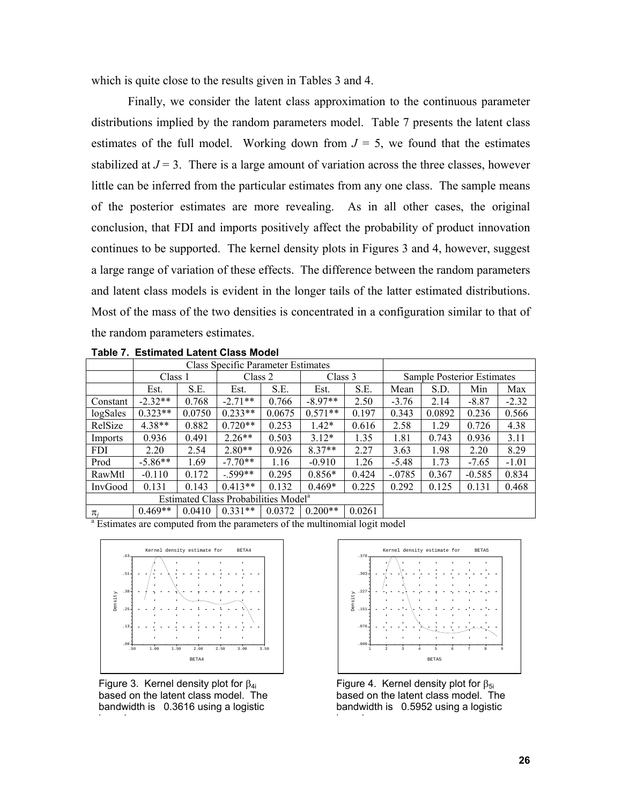which is quite close to the results given in Tables 3 and 4.

Finally, we consider the latent class approximation to the continuous parameter distributions implied by the random parameters model. Table 7 presents the latent class estimates of the full model. Working down from  $J = 5$ , we found that the estimates stabilized at  $J = 3$ . There is a large amount of variation across the three classes, however little can be inferred from the particular estimates from any one class. The sample means of the posterior estimates are more revealing. As in all other cases, the original conclusion, that FDI and imports positively affect the probability of product innovation continues to be supported. The kernel density plots in Figures 3 and 4, however, suggest a large range of variation of these effects. The difference between the random parameters and latent class models is evident in the longer tails of the latter estimated distributions. Most of the mass of the two densities is concentrated in a configuration similar to that of the random parameters estimates.

|                                                  | <b>Class Specific Parameter Estimates</b> |        |                                                                                        |        |           |        |          |                                   |          |         |
|--------------------------------------------------|-------------------------------------------|--------|----------------------------------------------------------------------------------------|--------|-----------|--------|----------|-----------------------------------|----------|---------|
|                                                  | Class 1                                   |        | Class 2                                                                                |        | Class 3   |        |          | <b>Sample Posterior Estimates</b> |          |         |
|                                                  | Est.                                      | S.E.   | Est.                                                                                   | S.E.   | Est.      | S.E.   | Mean     | S.D.                              | Min      | Max     |
| Constant                                         | $-2.32**$                                 | 0.768  | $-2.71**$                                                                              | 0.766  | $-8.97**$ | 2.50   | $-3.76$  | 2.14                              | $-8.87$  | $-2.32$ |
| logSales                                         | $0.323**$                                 | 0.0750 | $0.233**$                                                                              | 0.0675 | $0.571**$ | 0.197  | 0.343    | 0.0892                            | 0.236    | 0.566   |
| RelSize                                          | $4.38**$                                  | 0.882  | $0.720**$                                                                              | 0.253  | $1.42*$   | 0.616  | 2.58     | 1.29                              | 0.726    | 4.38    |
| Imports                                          | 0.936                                     | 0.491  | $2.26**$                                                                               | 0.503  | $3.12*$   | 1.35   | 1.81     | 0.743                             | 0.936    | 3.11    |
| <b>FDI</b>                                       | 2.20                                      | 2.54   | $2.80**$                                                                               | 0.926  | $8.37**$  | 2.27   | 3.63     | 1.98                              | 2.20     | 8.29    |
| Prod                                             | $-5.86**$                                 | 1.69   | $-7.70**$                                                                              | 1.16   | $-0.910$  | 1.26   | $-5.48$  | 1.73                              | $-7.65$  | $-1.01$ |
| RawMtl                                           | $-0.110$                                  | 0.172  | $-.599**$                                                                              | 0.295  | $0.856*$  | 0.424  | $-.0785$ | 0.367                             | $-0.585$ | 0.834   |
| InvGood                                          | 0.131                                     | 0.143  | $0.413**$                                                                              | 0.132  | $0.469*$  | 0.225  | 0.292    | 0.125                             | 0.131    | 0.468   |
| Estimated Class Probabilities Model <sup>a</sup> |                                           |        |                                                                                        |        |           |        |          |                                   |          |         |
| $\pi_i$                                          | $0.469**$                                 | 0.0410 | $0.331**$                                                                              | 0.0372 | $0.200**$ | 0.0261 |          |                                   |          |         |
|                                                  |                                           |        | <sup>a</sup> Estimates are computed from the parameters of the multinomial logit model |        |           |        |          |                                   |          |         |

| Table 7. Estimated Latent Class Model |  |  |
|---------------------------------------|--|--|
|                                       |  |  |



Figure 3. Kernel density plot for  $\beta_{4i}$ based on the latent class model. The bandwidth is 0.3616 using a logistic k l



Figure 4. Kernel density plot for  $\beta_{5i}$ based on the latent class model. The bandwidth is 0.5952 using a logistic k l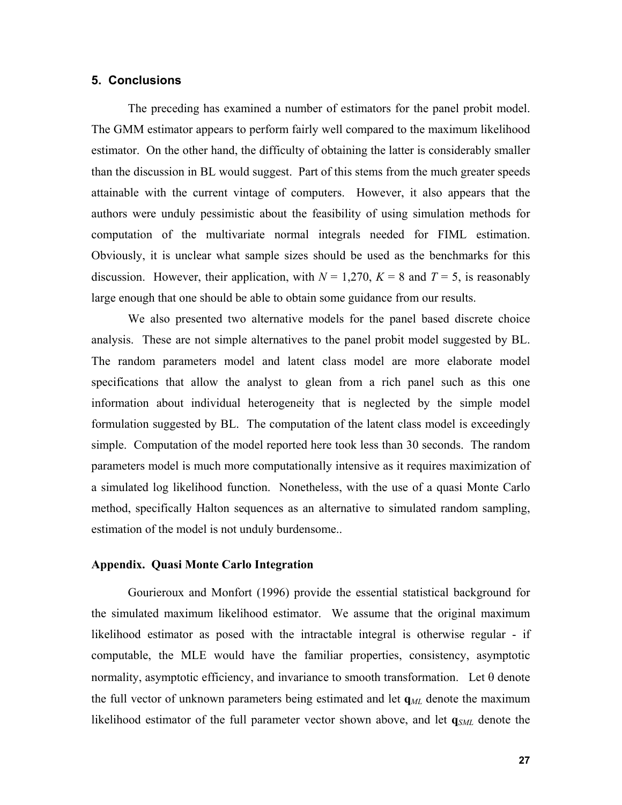#### **5. Conclusions**

The preceding has examined a number of estimators for the panel probit model. The GMM estimator appears to perform fairly well compared to the maximum likelihood estimator. On the other hand, the difficulty of obtaining the latter is considerably smaller than the discussion in BL would suggest. Part of this stems from the much greater speeds attainable with the current vintage of computers. However, it also appears that the authors were unduly pessimistic about the feasibility of using simulation methods for computation of the multivariate normal integrals needed for FIML estimation. Obviously, it is unclear what sample sizes should be used as the benchmarks for this discussion. However, their application, with  $N = 1,270$ ,  $K = 8$  and  $T = 5$ , is reasonably large enough that one should be able to obtain some guidance from our results.

We also presented two alternative models for the panel based discrete choice analysis. These are not simple alternatives to the panel probit model suggested by BL. The random parameters model and latent class model are more elaborate model specifications that allow the analyst to glean from a rich panel such as this one information about individual heterogeneity that is neglected by the simple model formulation suggested by BL. The computation of the latent class model is exceedingly simple. Computation of the model reported here took less than 30 seconds. The random parameters model is much more computationally intensive as it requires maximization of a simulated log likelihood function. Nonetheless, with the use of a quasi Monte Carlo method, specifically Halton sequences as an alternative to simulated random sampling, estimation of the model is not unduly burdensome..

## **Appendix. Quasi Monte Carlo Integration**

Gourieroux and Monfort (1996) provide the essential statistical background for the simulated maximum likelihood estimator. We assume that the original maximum likelihood estimator as posed with the intractable integral is otherwise regular - if computable, the MLE would have the familiar properties, consistency, asymptotic normality, asymptotic efficiency, and invariance to smooth transformation. Let  $\theta$  denote the full vector of unknown parameters being estimated and let **q***ML* denote the maximum likelihood estimator of the full parameter vector shown above, and let **q***SML* denote the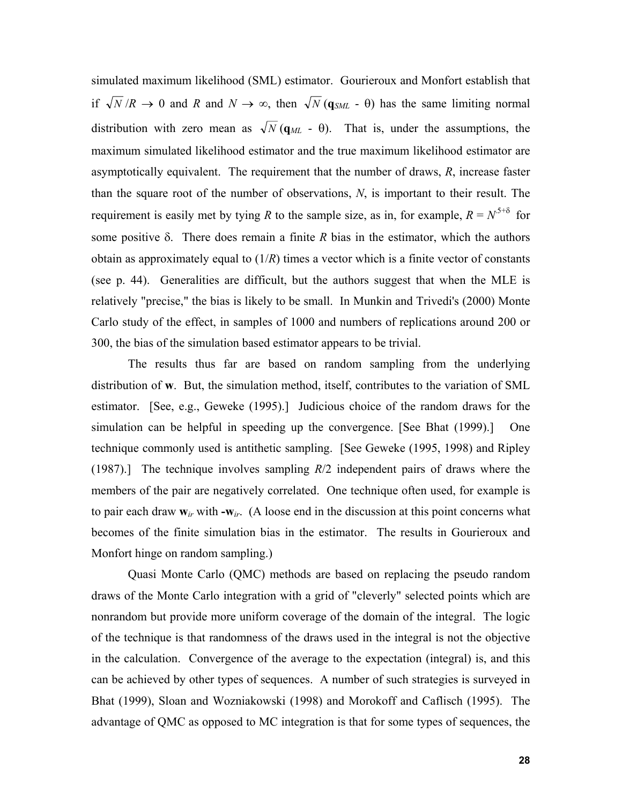simulated maximum likelihood (SML) estimator. Gourieroux and Monfort establish that if  $\sqrt{N}/R \rightarrow 0$  and *R* and  $N \rightarrow \infty$ , then  $\sqrt{N}$  ( $\mathbf{q}_{SML}$  -  $\theta$ ) has the same limiting normal distribution with zero mean as  $\sqrt{N}$  ( $\mathbf{q}_{ML}$  -  $\theta$ ). That is, under the assumptions, the maximum simulated likelihood estimator and the true maximum likelihood estimator are asymptotically equivalent. The requirement that the number of draws, *R*, increase faster than the square root of the number of observations, *N*, is important to their result. The requirement is easily met by tying *R* to the sample size, as in, for example,  $R = N^{5+\delta}$  for some positive  $\delta$ . There does remain a finite  $R$  bias in the estimator, which the authors obtain as approximately equal to  $(1/R)$  times a vector which is a finite vector of constants (see p. 44). Generalities are difficult, but the authors suggest that when the MLE is relatively "precise," the bias is likely to be small. In Munkin and Trivedi's (2000) Monte Carlo study of the effect, in samples of 1000 and numbers of replications around 200 or 300, the bias of the simulation based estimator appears to be trivial.

The results thus far are based on random sampling from the underlying distribution of **w**. But, the simulation method, itself, contributes to the variation of SML estimator. [See, e.g., Geweke (1995).] Judicious choice of the random draws for the simulation can be helpful in speeding up the convergence. [See Bhat (1999).] One technique commonly used is antithetic sampling. [See Geweke (1995, 1998) and Ripley (1987).] The technique involves sampling *R*/2 independent pairs of draws where the members of the pair are negatively correlated. One technique often used, for example is to pair each draw  $w_i$  with  $-w_i$ . (A loose end in the discussion at this point concerns what becomes of the finite simulation bias in the estimator. The results in Gourieroux and Monfort hinge on random sampling.)

Quasi Monte Carlo (QMC) methods are based on replacing the pseudo random draws of the Monte Carlo integration with a grid of "cleverly" selected points which are nonrandom but provide more uniform coverage of the domain of the integral. The logic of the technique is that randomness of the draws used in the integral is not the objective in the calculation. Convergence of the average to the expectation (integral) is, and this can be achieved by other types of sequences. A number of such strategies is surveyed in Bhat (1999), Sloan and Wozniakowski (1998) and Morokoff and Caflisch (1995). The advantage of QMC as opposed to MC integration is that for some types of sequences, the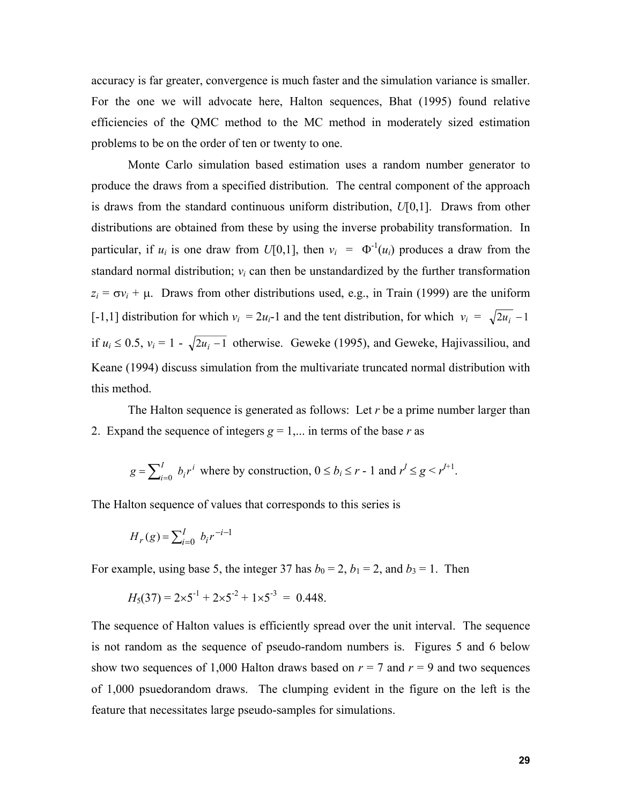accuracy is far greater, convergence is much faster and the simulation variance is smaller. For the one we will advocate here, Halton sequences, Bhat (1995) found relative efficiencies of the QMC method to the MC method in moderately sized estimation problems to be on the order of ten or twenty to one.

Monte Carlo simulation based estimation uses a random number generator to produce the draws from a specified distribution. The central component of the approach is draws from the standard continuous uniform distribution, *U*[0,1]. Draws from other distributions are obtained from these by using the inverse probability transformation. In particular, if  $u_i$  is one draw from  $U[0,1]$ , then  $v_i = \Phi^{-1}(u_i)$  produces a draw from the standard normal distribution;  $v_i$  can then be unstandardized by the further transformation  $z_i = \sigma v_i + \mu$ . Draws from other distributions used, e.g., in Train (1999) are the uniform [-1,1] distribution for which  $v_i = 2u_i$ -1 and the tent distribution, for which  $v_i = \sqrt{2u_i} - 1$ if  $u_i \le 0.5$ ,  $v_i = 1 - \sqrt{2u_i - 1}$  otherwise. Geweke (1995), and Geweke, Hajivassiliou, and Keane (1994) discuss simulation from the multivariate truncated normal distribution with this method.

The Halton sequence is generated as follows: Let *r* be a prime number larger than 2. Expand the sequence of integers  $g = 1, \dots$  in terms of the base *r* as

$$
g = \sum_{i=0}^{I} b_i r^i
$$
 where by construction,  $0 \le b_i \le r - 1$  and  $r^l \le g < r^{l+1}$ .

The Halton sequence of values that corresponds to this series is

$$
H_r(g) = \sum_{i=0}^{I} b_i r^{-i-1}
$$

For example, using base 5, the integer 37 has  $b_0 = 2$ ,  $b_1 = 2$ , and  $b_3 = 1$ . Then

$$
H_5(37) = 2 \times 5^{-1} + 2 \times 5^{-2} + 1 \times 5^{-3} = 0.448.
$$

The sequence of Halton values is efficiently spread over the unit interval. The sequence is not random as the sequence of pseudo-random numbers is. Figures 5 and 6 below show two sequences of 1,000 Halton draws based on  $r = 7$  and  $r = 9$  and two sequences of 1,000 psuedorandom draws. The clumping evident in the figure on the left is the feature that necessitates large pseudo-samples for simulations.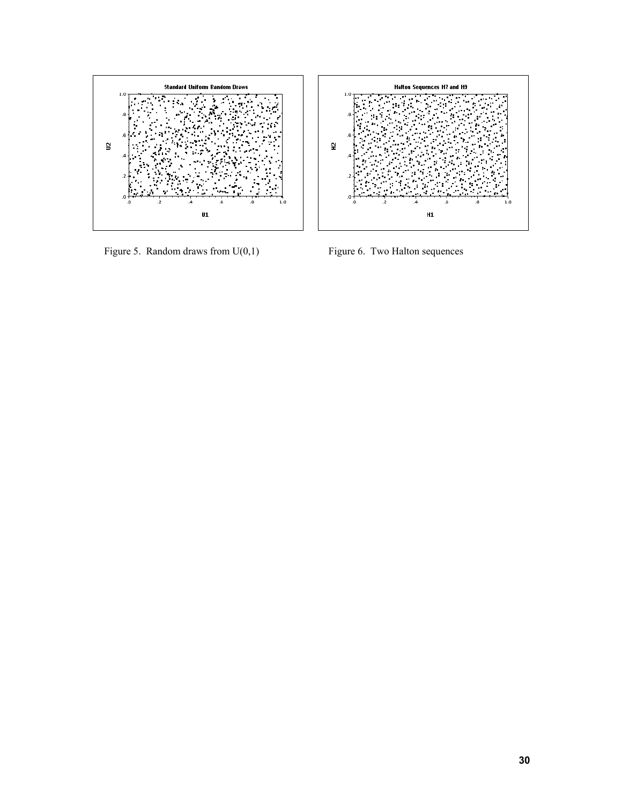

Figure 5. Random draws from U(0,1) Figure 6. Two Halton sequences

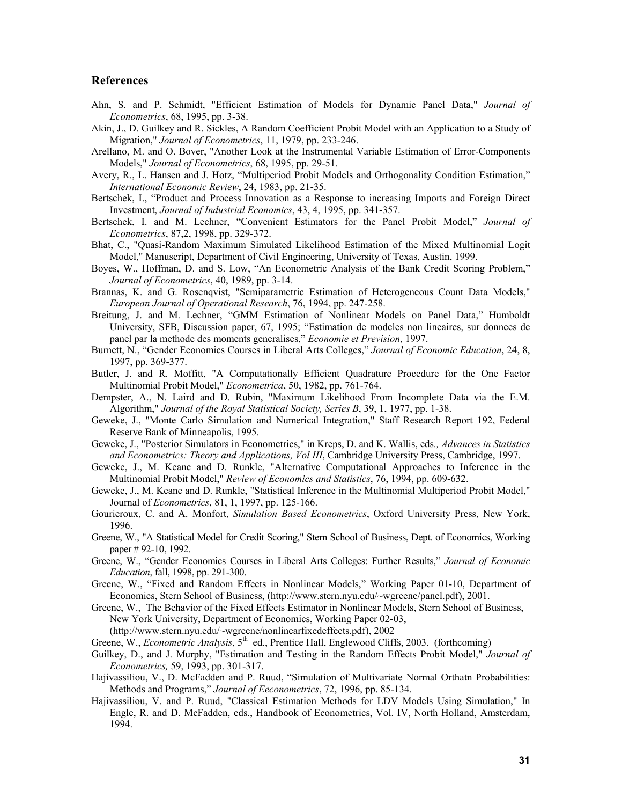#### **References**

- Ahn, S. and P. Schmidt, "Efficient Estimation of Models for Dynamic Panel Data," *Journal of Econometrics*, 68, 1995, pp. 3-38.
- Akin, J., D. Guilkey and R. Sickles, A Random Coefficient Probit Model with an Application to a Study of Migration," *Journal of Econometrics*, 11, 1979, pp. 233-246.
- Arellano, M. and O. Bover, "Another Look at the Instrumental Variable Estimation of Error-Components Models," *Journal of Econometrics*, 68, 1995, pp. 29-51.
- Avery, R., L. Hansen and J. Hotz, "Multiperiod Probit Models and Orthogonality Condition Estimation," *International Economic Review*, 24, 1983, pp. 21-35.
- Bertschek, I., "Product and Process Innovation as a Response to increasing Imports and Foreign Direct Investment, *Journal of Industrial Economics*, 43, 4, 1995, pp. 341-357.
- Bertschek, I. and M. Lechner, "Convenient Estimators for the Panel Probit Model," *Journal of Econometrics*, 87,2, 1998, pp. 329-372.
- Bhat, C., "Quasi-Random Maximum Simulated Likelihood Estimation of the Mixed Multinomial Logit Model," Manuscript, Department of Civil Engineering, University of Texas, Austin, 1999.
- Boyes, W., Hoffman, D. and S. Low, "An Econometric Analysis of the Bank Credit Scoring Problem," *Journal of Econometrics*, 40, 1989, pp. 3-14.
- Brannas, K. and G. Rosenqvist, "Semiparametric Estimation of Heterogeneous Count Data Models," *European Journal of Operational Research*, 76, 1994, pp. 247-258.
- Breitung, J. and M. Lechner, "GMM Estimation of Nonlinear Models on Panel Data," Humboldt University, SFB, Discussion paper, 67, 1995; "Estimation de modeles non lineaires, sur donnees de panel par la methode des moments generalises," *Economie et Prevision*, 1997.
- Burnett, N., "Gender Economics Courses in Liberal Arts Colleges," *Journal of Economic Education*, 24, 8, 1997, pp. 369-377.
- Butler, J. and R. Moffitt, "A Computationally Efficient Quadrature Procedure for the One Factor Multinomial Probit Model," *Econometrica*, 50, 1982, pp. 761-764.
- Dempster, A., N. Laird and D. Rubin, "Maximum Likelihood From Incomplete Data via the E.M. Algorithm," *Journal of the Royal Statistical Society, Series B*, 39, 1, 1977, pp. 1-38.
- Geweke, J., "Monte Carlo Simulation and Numerical Integration," Staff Research Report 192, Federal Reserve Bank of Minneapolis, 1995.
- Geweke, J., "Posterior Simulators in Econometrics," in Kreps, D. and K. Wallis, eds*., Advances in Statistics and Econometrics: Theory and Applications, Vol III*, Cambridge University Press, Cambridge, 1997.
- Geweke, J., M. Keane and D. Runkle, "Alternative Computational Approaches to Inference in the Multinomial Probit Model," *Review of Economics and Statistics*, 76, 1994, pp. 609-632.
- Geweke, J., M. Keane and D. Runkle, "Statistical Inference in the Multinomial Multiperiod Probit Model," Journal of *Econometrics*, 81, 1, 1997, pp. 125-166.
- Gourieroux, C. and A. Monfort, *Simulation Based Econometrics*, Oxford University Press, New York, 1996.
- Greene, W., "A Statistical Model for Credit Scoring," Stern School of Business, Dept. of Economics, Working paper # 92-10, 1992.
- Greene, W., "Gender Economics Courses in Liberal Arts Colleges: Further Results," *Journal of Economic Education*, fall, 1998, pp. 291-300.
- Greene, W., "Fixed and Random Effects in Nonlinear Models," Working Paper 01-10, Department of Economics, Stern School of Business, (http://www.stern.nyu.edu/~wgreene/panel.pdf), 2001.
- Greene, W., The Behavior of the Fixed Effects Estimator in Nonlinear Models, Stern School of Business, New York University, Department of Economics, Working Paper 02-03, (http://www.stern.nyu.edu/~wgreene/nonlinearfixedeffects.pdf), 2002
- Greene, W., *Econometric Analysis*, 5<sup>th</sup> ed., Prentice Hall, Englewood Cliffs, 2003. (forthcoming)
- Guilkey, D., and J. Murphy, "Estimation and Testing in the Random Effects Probit Model," *Journal of Econometrics,* 59, 1993, pp. 301-317.
- Hajivassiliou, V., D. McFadden and P. Ruud, "Simulation of Multivariate Normal Orthatn Probabilities: Methods and Programs," *Journal of Eeconometrics*, 72, 1996, pp. 85-134.
- Hajivassiliou, V. and P. Ruud, "Classical Estimation Methods for LDV Models Using Simulation," In Engle, R. and D. McFadden, eds., Handbook of Econometrics, Vol. IV, North Holland, Amsterdam, 1994.